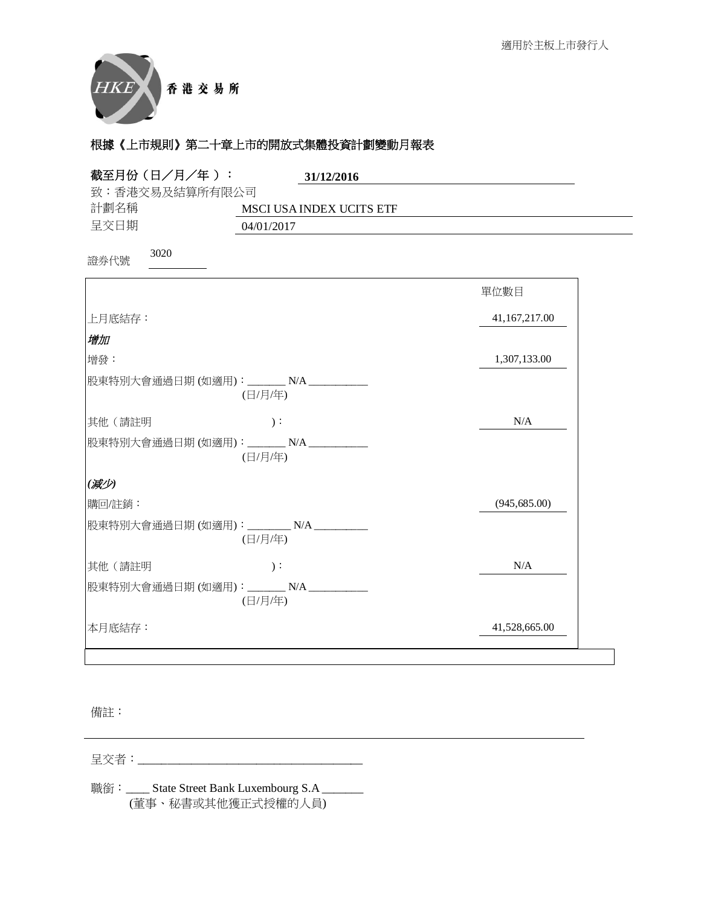

| 截至月份(日/月/年):<br>31/12/2016                          |               |
|-----------------------------------------------------|---------------|
| 致:香港交易及結算所有限公司                                      |               |
| 計劃名稱<br>MSCI USA INDEX UCITS ETF                    |               |
| 呈交日期<br>04/01/2017                                  |               |
| 3020<br>證券代號                                        |               |
|                                                     | 單位數目          |
| 上月底結存:                                              | 41,167,217.00 |
| 增加                                                  |               |
| 增發:                                                 | 1,307,133.00  |
| 股東特別大會通過日期 (如適用):_______ N/A __________<br>(日/月/年)  |               |
| 其他(請註明<br>$)$ :                                     | N/A           |
| 股東特別大會通過日期(如適用): _______N/A __________<br>(日/月/年)   |               |
| (减少)                                                |               |
| 購回/註銷:                                              | (945, 685.00) |
| 股東特別大會通過日期(如適用): ________ N/A __________<br>(日/月/年) |               |
| 其他(請註明<br>$)$ :                                     | N/A           |
| 股東特別大會通過日期 (如適用): _______ N/A __________<br>(日/月/年) |               |
| 本月底結存:                                              | 41,528,665.00 |

## 備註:

⏰Ṍ侭烉\_\_\_\_\_\_\_\_\_\_\_\_\_\_\_\_\_\_\_\_\_\_\_\_\_\_\_\_\_\_\_\_\_\_\_\_\_\_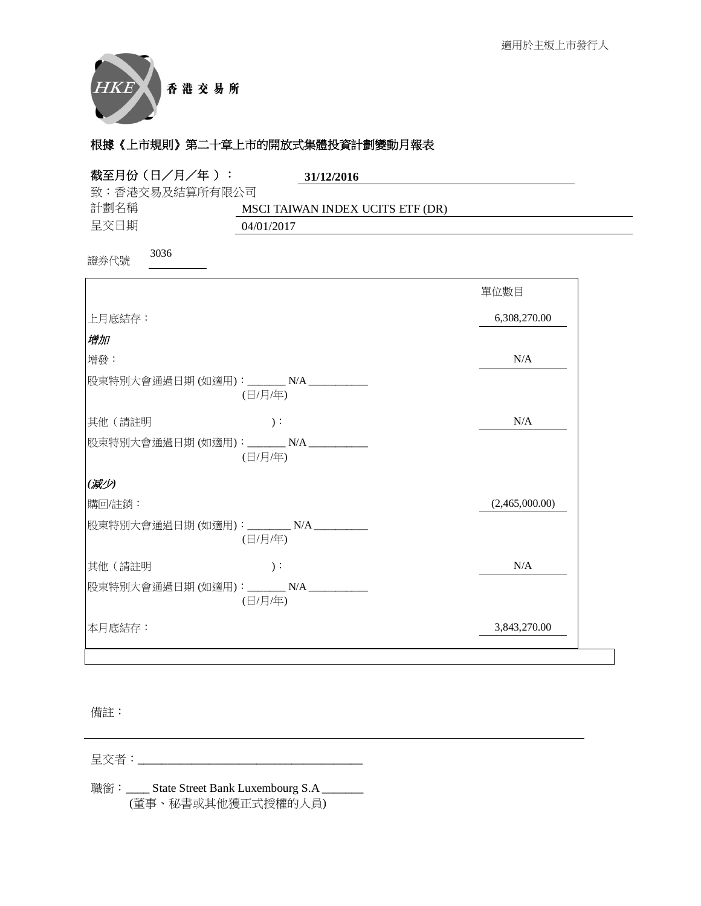

| 截至月份 (日/月/年):                             | 31/12/2016                                     |                |
|-------------------------------------------|------------------------------------------------|----------------|
| 致:香港交易及結算所有限公司<br>計劃名稱                    |                                                |                |
| 呈交日期                                      | MSCI TAIWAN INDEX UCITS ETF (DR)<br>04/01/2017 |                |
| 3036<br>證券代號                              |                                                |                |
|                                           |                                                | 單位數目           |
| 上月底結存:                                    |                                                | 6,308,270.00   |
| 增加                                        |                                                |                |
| 增發:                                       |                                                | N/A            |
| 股東特別大會通過日期 (如適用):_______ N/A __________   | (日/月/年)                                        |                |
| 其他(請註明                                    | $)$ :                                          | N/A            |
| 股東特別大會通過日期 (如適用): _______ N/A ___________ | (日/月/年)                                        |                |
| (减少)                                      |                                                |                |
| 購回/註銷:                                    |                                                | (2,465,000.00) |
| 股東特別大會通過日期(如適用): ________N/A ________     | (日/月/年)                                        |                |
| 其他(請註明                                    | $)$ :                                          | N/A            |
| 股東特別大會通過日期(如適用): _______N/A ___________   | (日/月/年)                                        |                |
| 本月底結存:                                    |                                                | 3,843,270.00   |

備註:

⏰Ṍ侭烉\_\_\_\_\_\_\_\_\_\_\_\_\_\_\_\_\_\_\_\_\_\_\_\_\_\_\_\_\_\_\_\_\_\_\_\_\_\_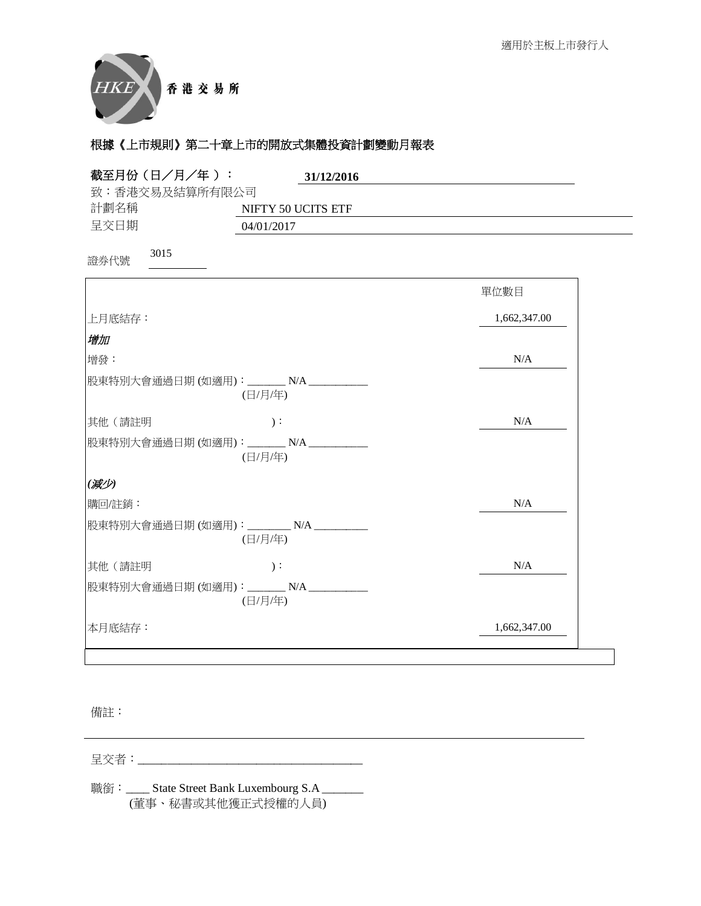

| 截至月份 (日/月/年):<br>致:香港交易及結算所有限公司       | 31/12/2016                                          |              |
|---------------------------------------|-----------------------------------------------------|--------------|
| 計劃名稱                                  | NIFTY 50 UCITS ETF                                  |              |
| 呈交日期                                  | 04/01/2017                                          |              |
| 3015<br>證券代號                          |                                                     |              |
|                                       |                                                     | 單位數目         |
| 上月底結存:                                |                                                     | 1,662,347.00 |
| 增加                                    |                                                     |              |
| 增發:                                   |                                                     | N/A          |
|                                       | 股東特別大會通過日期(如適用): _______N/A __________<br>(日/月/年)   |              |
| 其他(請註明                                | $)$ :                                               | N/A          |
|                                       | 股東特別大會通過日期 (如適用):_______ N/A ___________<br>(日/月/年) |              |
| $\lambda$ and $\lambda$ and $\lambda$ |                                                     |              |

| (减少)                                       |              |
|--------------------------------------------|--------------|
| 購回/註銷:                                     | N/A          |
| 股東特別大會通過日期 (如適用): _______ N/A _<br>(日/月/年) |              |
| 其他(請註明<br>$\cdot$                          | N/A          |
| 股東特別大會通過日期(如適用): ______<br>N/A<br>(日/月/年)  |              |
| 本月底結存:                                     | 1,662,347.00 |

#### 備註:

⏰Ṍ侭烉\_\_\_\_\_\_\_\_\_\_\_\_\_\_\_\_\_\_\_\_\_\_\_\_\_\_\_\_\_\_\_\_\_\_\_\_\_\_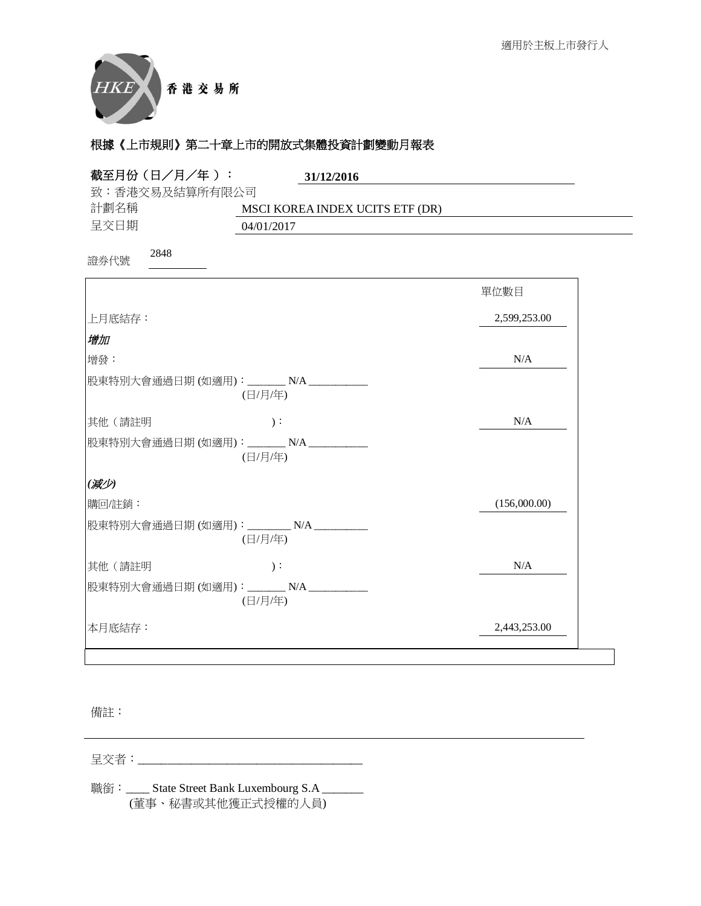

| 截至月份 (日/月/年):                            | 31/12/2016                      |              |
|------------------------------------------|---------------------------------|--------------|
| 致:香港交易及結算所有限公司                           |                                 |              |
| 計劃名稱                                     | MSCI KOREA INDEX UCITS ETF (DR) |              |
| 呈交日期                                     | 04/01/2017                      |              |
| 2848<br>證券代號                             |                                 |              |
|                                          |                                 | 單位數目         |
| 上月底結存:                                   |                                 | 2,599,253.00 |
| 增加                                       |                                 |              |
| 增發:                                      |                                 | N/A          |
| 股東特別大會通過日期(如適用): _______N/A __________   | (日/月/年)                         |              |
| 其他(請註明                                   | $)$ :                           | N/A          |
| 股東特別大會通過日期(如適用): ______ N/A __________   | (日/月/年)                         |              |
| (减少)                                     |                                 |              |
| 購回/註銷:                                   |                                 | (156,000.00) |
| 股東特別大會通過日期(如適用): ________N/A __________  | (日/月/年)                         |              |
| 其他(請註明                                   | $)$ :                           | N/A          |
| 股東特別大會通過日期 (如適用): _______ N/A __________ | (日/月/年)                         |              |
| 本月底結存:                                   |                                 | 2,443,253.00 |

## 備註:

⏰Ṍ侭烉\_\_\_\_\_\_\_\_\_\_\_\_\_\_\_\_\_\_\_\_\_\_\_\_\_\_\_\_\_\_\_\_\_\_\_\_\_\_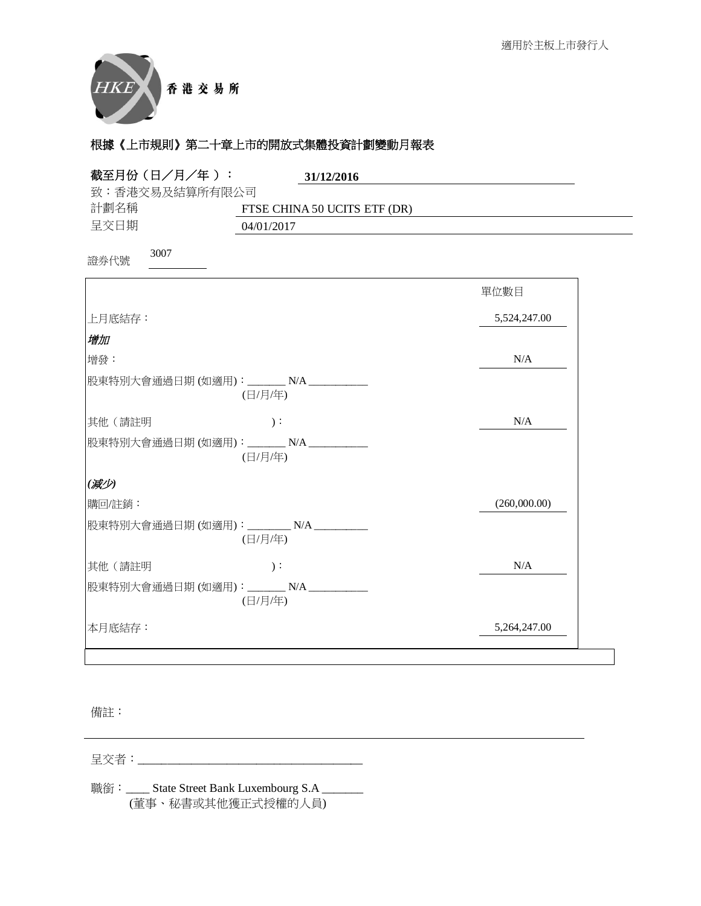

| 截至月份(日/月/年):                            | 31/12/2016                   |              |
|-----------------------------------------|------------------------------|--------------|
| 致:香港交易及結算所有限公司                          |                              |              |
| 計劃名稱                                    | FTSE CHINA 50 UCITS ETF (DR) |              |
| 呈交日期                                    | 04/01/2017                   |              |
| 3007<br>證券代號                            |                              |              |
|                                         |                              | 單位數目         |
| 上月底結存:                                  |                              | 5,524,247.00 |
| 增加                                      |                              |              |
| 增發:                                     |                              | N/A          |
| 股東特別大會通過日期 (如適用):_______ N/A _________  | (日/月/年)                      |              |
| 其他(請註明                                  | $)$ :                        | N/A          |
| 股東特別大會通過日期(如適用): _______N/A ___________ | (日/月/年)                      |              |
| (减少)                                    |                              |              |
| 購回/註銷:                                  |                              | (260,000.00) |
| 股東特別大會通過日期(如適用): ________N/A __________ | (日/月/年)                      |              |
| 其他(請註明                                  | $)$ :                        | N/A          |
| 股東特別大會通過日期(如適用): _______N/A ___________ | (日/月/年)                      |              |
| 本月底結存:                                  |                              | 5,264,247.00 |

## 備註:

⏰Ṍ侭烉\_\_\_\_\_\_\_\_\_\_\_\_\_\_\_\_\_\_\_\_\_\_\_\_\_\_\_\_\_\_\_\_\_\_\_\_\_\_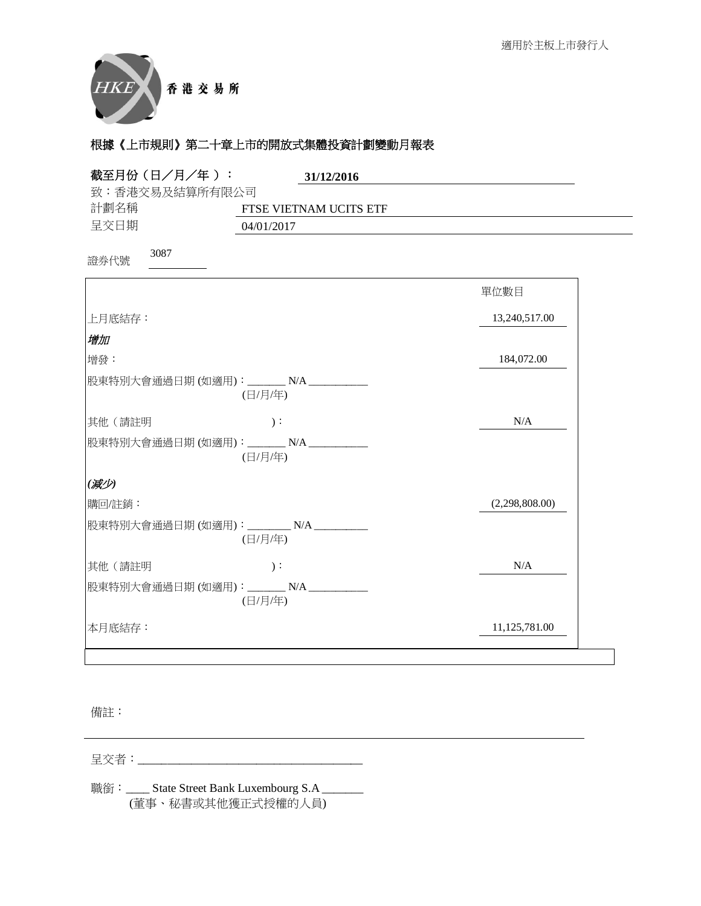

| 截至月份(日/月/年):<br>31/12/2016                          |                |
|-----------------------------------------------------|----------------|
| 致:香港交易及結算所有限公司                                      |                |
| 計劃名稱<br>FTSE VIETNAM UCITS ETF                      |                |
| 呈交日期<br>04/01/2017                                  |                |
| 3087<br>證券代號                                        |                |
|                                                     | 單位數目           |
| 上月底結存:                                              | 13,240,517.00  |
| 增加                                                  |                |
| 增發:                                                 | 184,072.00     |
| 股東特別大會通過日期 (如適用):_______ N/A _________<br>(日/月/年)   |                |
| 其他 (請註明<br>$)$ :                                    | N/A            |
| 股東特別大會通過日期(如適用): _______ N/A ___________<br>(日/月/年) |                |
| (减少)                                                |                |
| 購回/註銷:                                              | (2,298,808.00) |
| 股東特別大會通過日期(如適用): ________ N/A __________<br>(日/月/年) |                |
| 其他(請註明<br>$)$ :                                     | N/A            |
| 股東特別大會通過日期 (如適用):_______ N/A __________<br>(日/月/年)  |                |
| 本月底結存:                                              | 11,125,781.00  |

#### 備註:

⏰Ṍ侭烉\_\_\_\_\_\_\_\_\_\_\_\_\_\_\_\_\_\_\_\_\_\_\_\_\_\_\_\_\_\_\_\_\_\_\_\_\_\_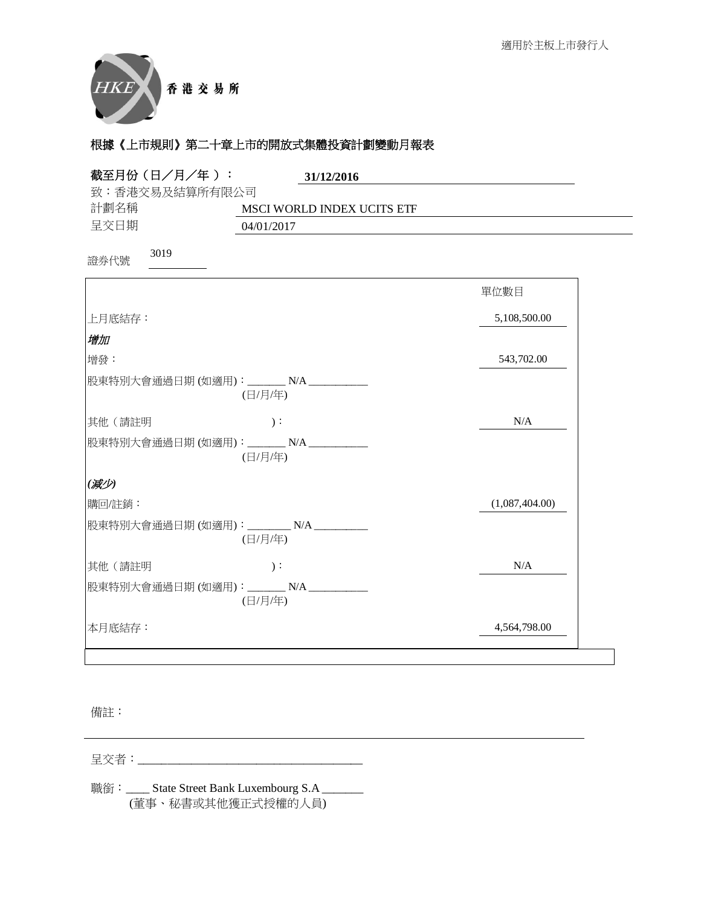

| 截至月份 (日/月/年):                            | 31/12/2016                 |                |
|------------------------------------------|----------------------------|----------------|
| 致:香港交易及結算所有限公司<br>計劃名稱                   | MSCI WORLD INDEX UCITS ETF |                |
| 呈交日期                                     | 04/01/2017                 |                |
| 3019<br>證券代號                             |                            |                |
|                                          |                            | 單位數目           |
| 上月底結存:                                   |                            | 5,108,500.00   |
| 增加                                       |                            |                |
| 增發:                                      |                            | 543,702.00     |
| 股東特別大會通過日期 (如適用):_______ N/A __________  | (日/月/年)                    |                |
| 其他(請註明                                   | $)$ :                      | N/A            |
| 股東特別大會通過日期(如適用): _______ N/A ___________ | (日/月/年)                    |                |
| (减少)                                     |                            |                |
| 購回/註銷:                                   |                            | (1,087,404.00) |
| 股東特別大會通過日期(如適用): ________N/A __________  | (日/月/年)                    |                |
| 其他(請註明                                   | $)$ :                      | N/A            |
| 股東特別大會通過日期 (如適用):_______ N/A __________  | (日/月/年)                    |                |
| 本月底結存:                                   |                            | 4,564,798.00   |

## 備註:

⏰Ṍ侭烉\_\_\_\_\_\_\_\_\_\_\_\_\_\_\_\_\_\_\_\_\_\_\_\_\_\_\_\_\_\_\_\_\_\_\_\_\_\_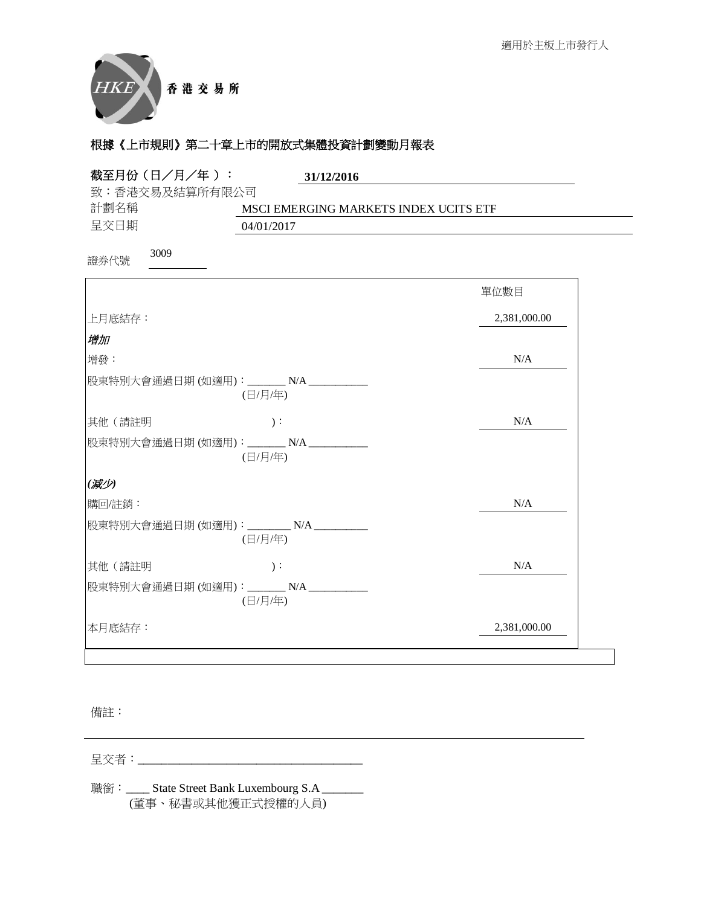

| 截至月份 (日/月/年):<br>31/12/2016<br>致:香港交易及結算所有限公司       |              |
|-----------------------------------------------------|--------------|
| 計劃名稱<br>MSCI EMERGING MARKETS INDEX UCITS ETF       |              |
| 呈交日期<br>04/01/2017                                  |              |
| 3009<br>證券代號                                        |              |
|                                                     | 單位數目         |
| 上月底結存:                                              | 2,381,000.00 |
| 增加                                                  |              |
| 增發:                                                 | N/A          |
| 股東特別大會通過日期(如適用): _______N/A _________<br>(日/月/年)    |              |
| 其他(請註明<br>$)$ :                                     | N/A          |
| 股東特別大會通過日期(如適用): _______ N/A ___________<br>(日/月/年) |              |
| (减少)                                                |              |
| 購回/註銷:                                              | N/A          |
| 股東特別大會通過日期(如適用): ________N/A _________<br>(日/月/年)   |              |
| 其他 (請註明<br>$)$ :                                    | $\rm N/A$    |
| 股東特別大會通過日期 (如適用):_______ N/A __________<br>(日/月/年)  |              |
| 本月底結存:                                              | 2,381,000.00 |

## 備註:

⏰Ṍ侭烉\_\_\_\_\_\_\_\_\_\_\_\_\_\_\_\_\_\_\_\_\_\_\_\_\_\_\_\_\_\_\_\_\_\_\_\_\_\_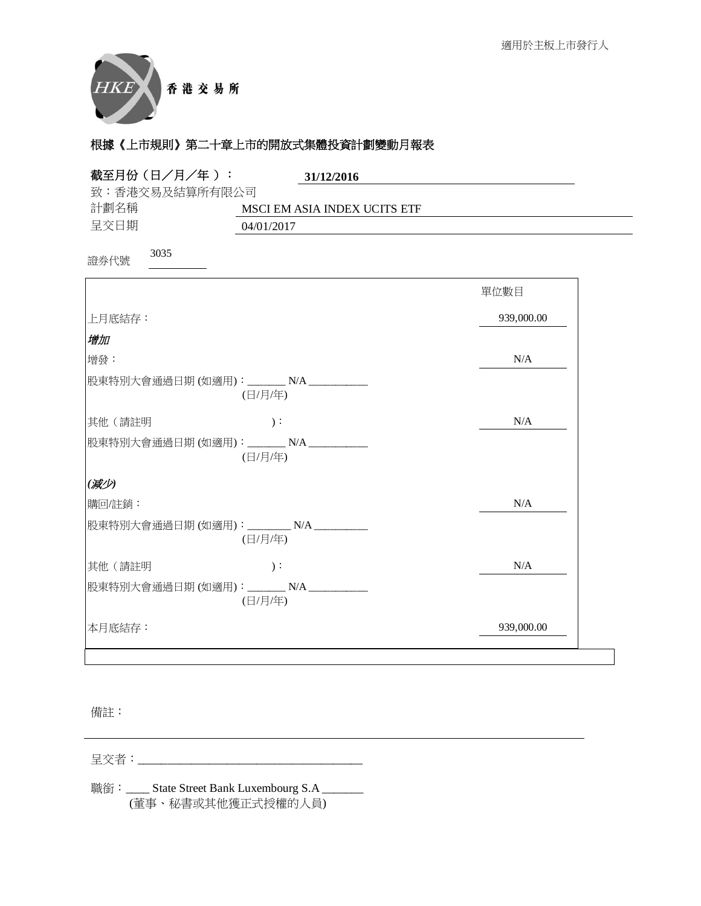

| 截至月份(日/月/年):<br>31/12/2016                         |            |
|----------------------------------------------------|------------|
| 致:香港交易及結算所有限公司                                     |            |
| 計劃名稱<br>MSCI EM ASIA INDEX UCITS ETF               |            |
| 呈交日期<br>04/01/2017                                 |            |
| 3035<br>證券代號                                       |            |
|                                                    | 單位數目       |
| 上月底結存:                                             | 939,000.00 |
| 增加                                                 |            |
| 增發:                                                | N/A        |
| 股東特別大會通過日期 (如適用):_______ N/A __________<br>(日/月/年) |            |
| 其他(請註明<br>$)$ :                                    | N/A        |
| 股東特別大會通過日期(如適用): _______ N/A __________<br>(日/月/年) |            |
| (减少)                                               |            |
| 購回/註銷:                                             | N/A        |
| 股東特別大會通過日期(如適用): _______ N/A _________<br>(日/月/年)  |            |
| 其他(請註明<br>$)$ :                                    | N/A        |
| 股東特別大會通過日期 (如適用):_______ N/A _________<br>(日/月/年)  |            |
| 本月底結存:                                             | 939,000.00 |

## 備註:

⏰Ṍ侭烉\_\_\_\_\_\_\_\_\_\_\_\_\_\_\_\_\_\_\_\_\_\_\_\_\_\_\_\_\_\_\_\_\_\_\_\_\_\_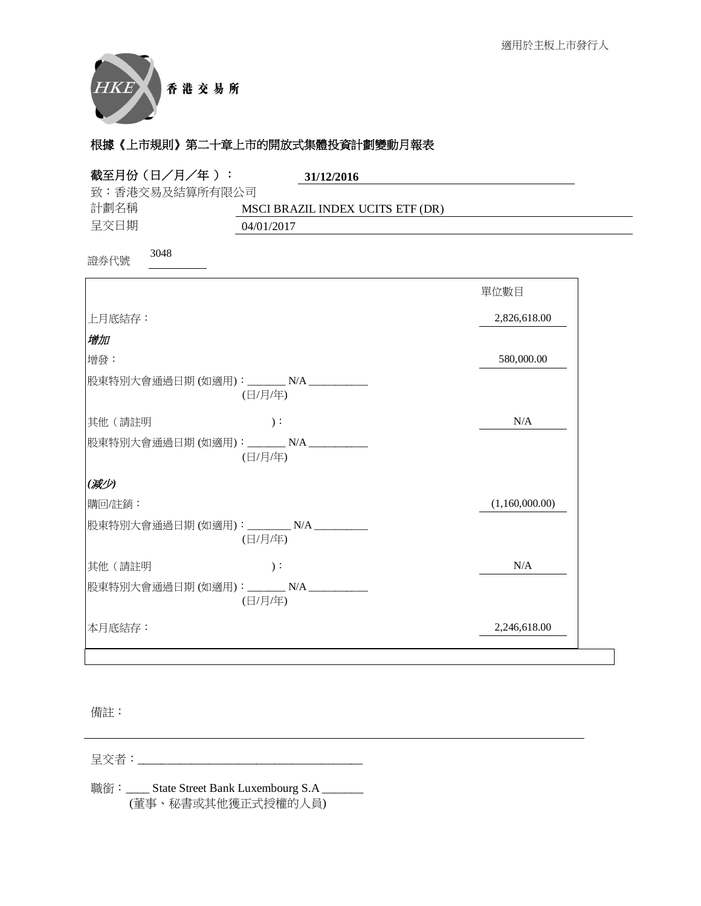

| 截至月份(日/月/年):                             | 31/12/2016                       |                |
|------------------------------------------|----------------------------------|----------------|
| 致:香港交易及結算所有限公司                           |                                  |                |
| 計劃名稱                                     | MSCI BRAZIL INDEX UCITS ETF (DR) |                |
| 呈交日期                                     | 04/01/2017                       |                |
| 3048<br>證券代號                             |                                  |                |
|                                          |                                  | 單位數目           |
| 上月底結存:                                   |                                  | 2,826,618.00   |
| 增加                                       |                                  |                |
| 增發:                                      |                                  | 580,000.00     |
| 股東特別大會通過日期 (如適用):_______ N/A __________  | (日/月/年)                          |                |
| 其他(請註明                                   | $)$ :                            | N/A            |
| 股東特別大會通過日期 (如適用):_______ N/A ___________ | (日/月/年)                          |                |
| (减少)                                     |                                  |                |
| 購回/註銷:                                   |                                  | (1,160,000.00) |
| 股東特別大會通過日期(如適用): _______ N/A __________  | (日/月/年)                          |                |
| 其他(請註明                                   | $)$ :                            | N/A            |
| 股東特別大會通過日期(如適用): _______N/A ___________  | (日/月/年)                          |                |
| 本月底結存:                                   |                                  | 2,246,618.00   |
|                                          |                                  |                |

#### 備註:

⏰Ṍ侭烉\_\_\_\_\_\_\_\_\_\_\_\_\_\_\_\_\_\_\_\_\_\_\_\_\_\_\_\_\_\_\_\_\_\_\_\_\_\_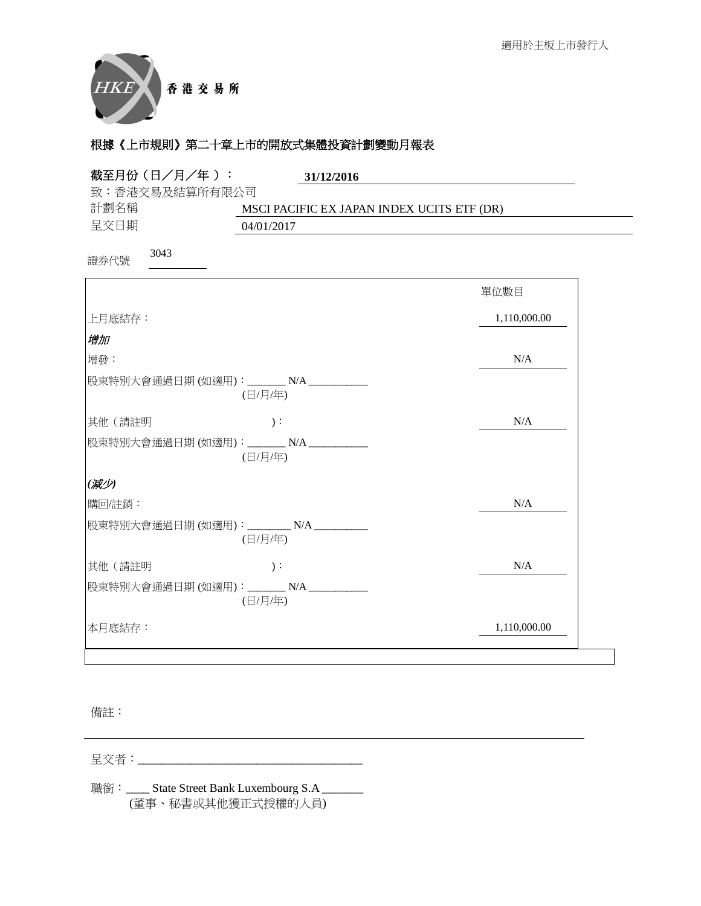

| 截至月份 (日/月/年):<br>致:香港交易及結算所有限公司          | 31/12/2016 |                                            |
|------------------------------------------|------------|--------------------------------------------|
| 計劃名稱                                     |            | MSCI PACIFIC EX JAPAN INDEX UCITS ETF (DR) |
| 呈交日期                                     | 04/01/2017 |                                            |
| 3043<br>證券代號                             |            |                                            |
|                                          |            | 單位數目                                       |
| 上月底結存:                                   |            | 1,110,000.00                               |
| 增加                                       |            |                                            |
| 增發:                                      |            | N/A                                        |
| 股東特別大會通過日期(如適用): _______N/A __________   | (日/月/年)    |                                            |
| 其他(請註明                                   | $)$ :      | N/A                                        |
| 股東特別大會通過日期 (如適用):_______ N/A __________  | (日/月/年)    |                                            |
| (减少)                                     |            |                                            |
| 購回/註銷:                                   |            | N/A                                        |
| 股東特別大會通過日期(如適用): ________N/A __________  | (日/月/年)    |                                            |
| 其他(請註明                                   | $)$ :      | N/A                                        |
| 股東特別大會通過日期 (如適用):_______ N/A ___________ | (日/月/年)    |                                            |
| 本月底結存:                                   |            | 1,110,000.00                               |

## 備註:

⏰Ṍ侭烉\_\_\_\_\_\_\_\_\_\_\_\_\_\_\_\_\_\_\_\_\_\_\_\_\_\_\_\_\_\_\_\_\_\_\_\_\_\_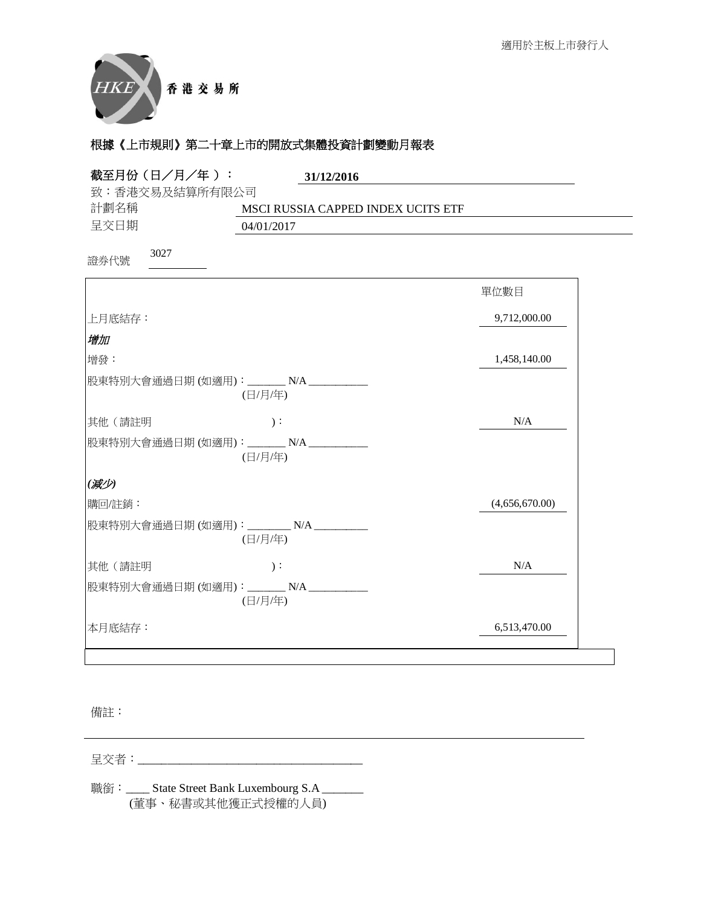

| 截至月份 (日/月/年):<br>31/12/2016                        |                |
|----------------------------------------------------|----------------|
| 致:香港交易及結算所有限公司                                     |                |
| 計劃名稱<br>MSCI RUSSIA CAPPED INDEX UCITS ETF         |                |
| 呈交日期<br>04/01/2017                                 |                |
| 3027<br>證券代號                                       |                |
|                                                    | 單位數目           |
| 上月底結存:                                             | 9,712,000.00   |
| 增加                                                 |                |
| 增發:                                                | 1,458,140.00   |
| 股東特別大會通過日期(如適用): _______ N/A _________<br>(日/月/年)  |                |
| 其他(請註明<br>$)$ :                                    | N/A            |
| 股東特別大會通過日期(如適用): ______ N/A __________<br>(日/月/年)  |                |
| (减少)                                               |                |
| 購回/註銷:                                             | (4,656,670.00) |
| 股東特別大會通過日期(如適用): ________N/A __________<br>(日/月/年) |                |
| 其他(請註明<br>$)$ :                                    | N/A            |
| 股東特別大會通過日期(如適用): _______N/A ___________<br>(日/月/年) |                |
| 本月底結存:                                             | 6,513,470.00   |

## 備註:

⏰Ṍ侭烉\_\_\_\_\_\_\_\_\_\_\_\_\_\_\_\_\_\_\_\_\_\_\_\_\_\_\_\_\_\_\_\_\_\_\_\_\_\_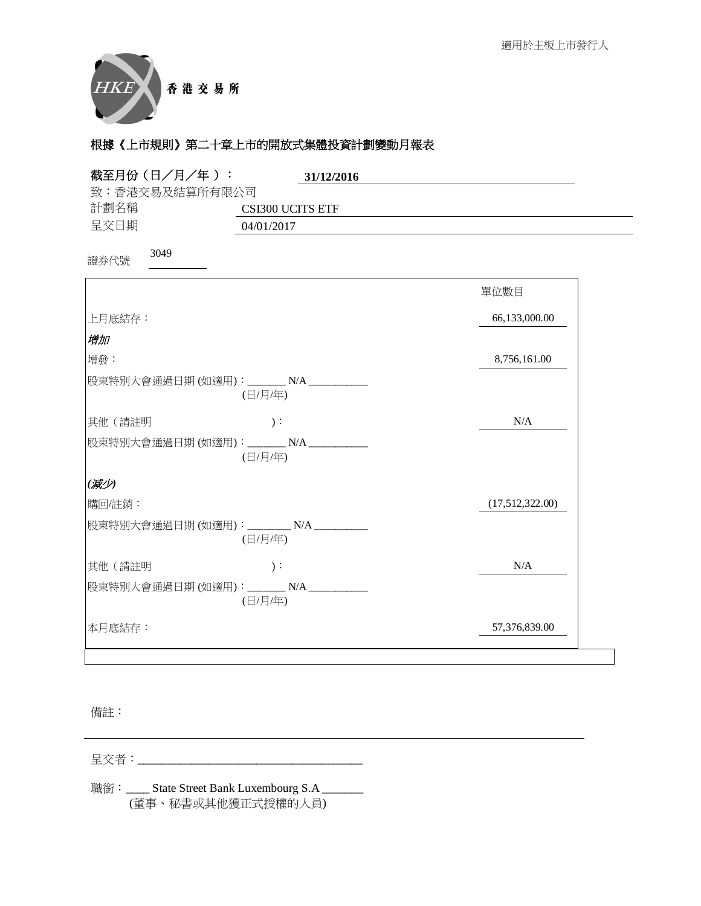

| 截至月份 (日/月/年):  | 31/12/2016                                          |                 |
|----------------|-----------------------------------------------------|-----------------|
| 致:香港交易及結算所有限公司 |                                                     |                 |
| 計劃名稱<br>呈交日期   | CSI300 UCITS ETF<br>04/01/2017                      |                 |
| 3049<br>證券代號   |                                                     |                 |
|                |                                                     | 單位數目            |
| 上月底結存:         |                                                     | 66,133,000.00   |
| 增加             |                                                     |                 |
| 增發:            |                                                     | 8,756,161.00    |
|                | 股東特別大會通過日期 (如適用): _______ N/A _________<br>(日/月/年)  |                 |
| 其他(請註明         | $)$ :                                               | N/A             |
|                | 股東特別大會通過日期(如適用): _______ N/A ___________<br>(日/月/年) |                 |
| (减少)           |                                                     |                 |
| 購回/註銷:         |                                                     | (17,512,322.00) |
|                | 股東特別大會通過日期(如適用): ________N/A _________<br>(日/月/年)   |                 |
| 其他 (請註明        | $)$ :                                               | N/A             |
|                | 股東特別大會通過日期 (如適用):_______ N/A ___________<br>(日/月/年) |                 |
| 本月底結存:         |                                                     | 57,376,839.00   |

## 備註:

⏰Ṍ侭烉\_\_\_\_\_\_\_\_\_\_\_\_\_\_\_\_\_\_\_\_\_\_\_\_\_\_\_\_\_\_\_\_\_\_\_\_\_\_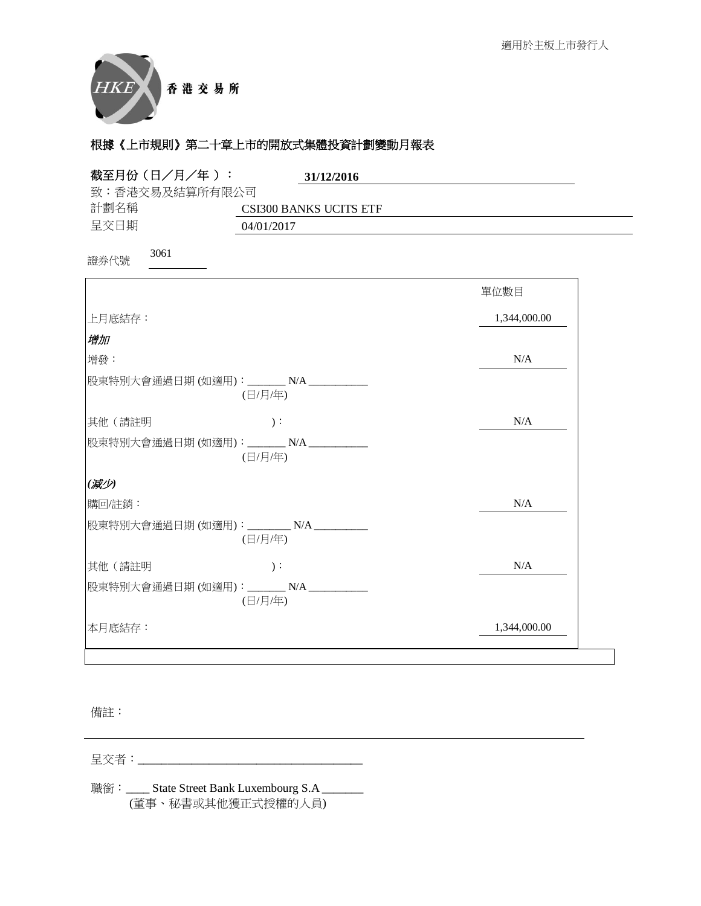

| 截至月份 (日/月/年):          | 31/12/2016                                          |              |
|------------------------|-----------------------------------------------------|--------------|
| 致:香港交易及結算所有限公司<br>計劃名稱 |                                                     |              |
| 呈交日期                   | <b>CSI300 BANKS UCITS ETF</b><br>04/01/2017         |              |
| 3061<br>證券代號           |                                                     |              |
|                        |                                                     | 單位數目         |
| 上月底結存:                 |                                                     | 1,344,000.00 |
| 增加                     |                                                     |              |
| 增發:                    |                                                     | N/A          |
|                        | 股東特別大會通過日期 (如適用): _______ N/A _________<br>(日/月/年)  |              |
| 其他(請註明                 | $)$ :                                               | N/A          |
|                        | 股東特別大會通過日期(如適用): _______ N/A ___________<br>(日/月/年) |              |
| (减少)                   |                                                     |              |
| 購回/註銷:                 |                                                     | N/A          |
|                        | 股東特別大會通過日期(如適用): ________N/A _________<br>(日/月/年)   |              |
| 其他(請註明                 | $)$ :                                               | N/A          |
|                        | 股東特別大會通過日期 (如適用):_______ N/A ___________<br>(日/月/年) |              |
| 本月底結存:                 |                                                     | 1,344,000.00 |

## 備註:

⏰Ṍ侭烉\_\_\_\_\_\_\_\_\_\_\_\_\_\_\_\_\_\_\_\_\_\_\_\_\_\_\_\_\_\_\_\_\_\_\_\_\_\_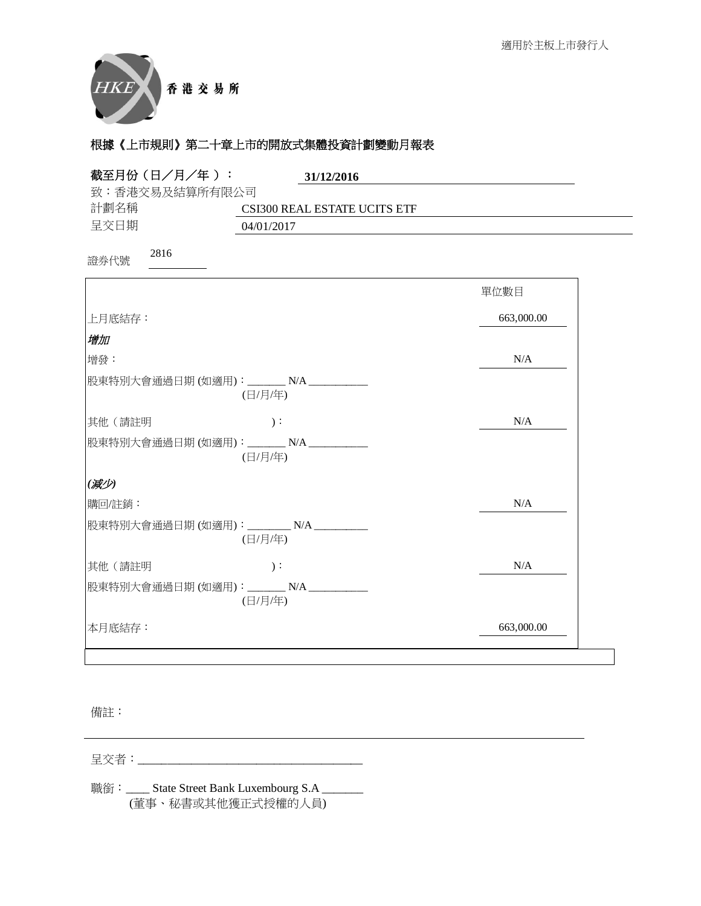

| 截至月份(日/月/年):<br>致:香港交易及結算所有限公司 | 31/12/2016                                         |            |
|--------------------------------|----------------------------------------------------|------------|
| 計劃名稱                           | CSI300 REAL ESTATE UCITS ETF                       |            |
| 呈交日期                           | 04/01/2017                                         |            |
| 2816<br>證券代號                   |                                                    |            |
|                                |                                                    | 單位數目       |
| 上月底結存:                         |                                                    | 663,000.00 |
| 增加                             |                                                    |            |
| 增發:                            |                                                    | N/A        |
|                                | 股東特別大會通過日期 (如適用):_______ N/A __________<br>(日/月/年) |            |
| 其他(請註明                         | $)$ :                                              | N/A        |
|                                | 股東特別大會通過日期(如適用): _______N/A ___________<br>(日/月/年) |            |
| (减少)                           |                                                    |            |
| 購回/註銷:                         |                                                    | N/A        |
|                                | 股東特別大會通過日期(如適用): ________N/A _________<br>(日/月/年)  |            |
| 其他(請註明                         | $)$ :                                              | $\rm N/A$  |
|                                | 股東特別大會通過日期(如適用): _______ N/A __________<br>(日/月/年) |            |
| 本月底結存:                         |                                                    | 663,000.00 |

備註:

⏰Ṍ侭烉\_\_\_\_\_\_\_\_\_\_\_\_\_\_\_\_\_\_\_\_\_\_\_\_\_\_\_\_\_\_\_\_\_\_\_\_\_\_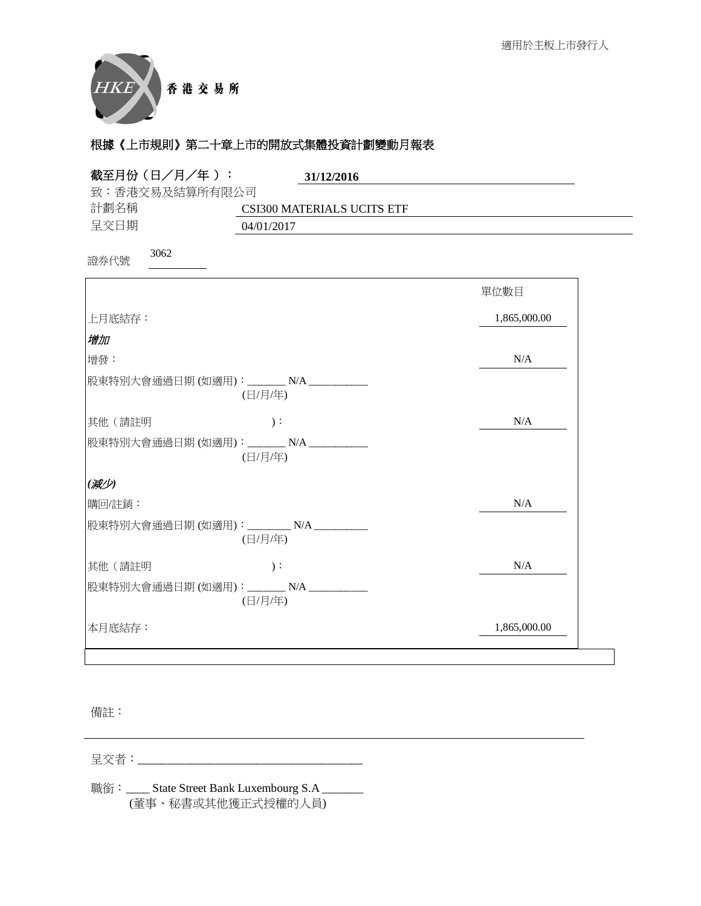

| 截至月份(日/月/年):   | 31/12/2016                                        |              |
|----------------|---------------------------------------------------|--------------|
| 致:香港交易及結算所有限公司 |                                                   |              |
| 計劃名稱           | <b>CSI300 MATERIALS UCITS ETF</b>                 |              |
| 呈交日期           | 04/01/2017                                        |              |
| 3062<br>證券代號   |                                                   |              |
|                |                                                   | 單位數目         |
| 上月底結存:         |                                                   | 1,865,000.00 |
| 增加             |                                                   |              |
| 增發:            |                                                   | N/A          |
|                | 股東特別大會通過日期(如適用): _______ N/A _________<br>(日/月/年) |              |
| 其他 (請註明        | $)$ :                                             | N/A          |
|                | 股東特別大會通過日期(如適用): ______ N/A __________<br>(日/月/年) |              |
| (减少)           |                                                   |              |
| 購回/註銷:         |                                                   | N/A          |
|                | 股東特別大會通過日期(如適用): _______ N/A _________<br>(日/月/年) |              |
| 其他(請註明         | $)$ :                                             | N/A          |
|                | 股東特別大會通過日期 (如適用):_______ N/A _________<br>(日/月/年) |              |
| 本月底結存:         |                                                   | 1,865,000.00 |

## 備註:

⏰Ṍ侭烉\_\_\_\_\_\_\_\_\_\_\_\_\_\_\_\_\_\_\_\_\_\_\_\_\_\_\_\_\_\_\_\_\_\_\_\_\_\_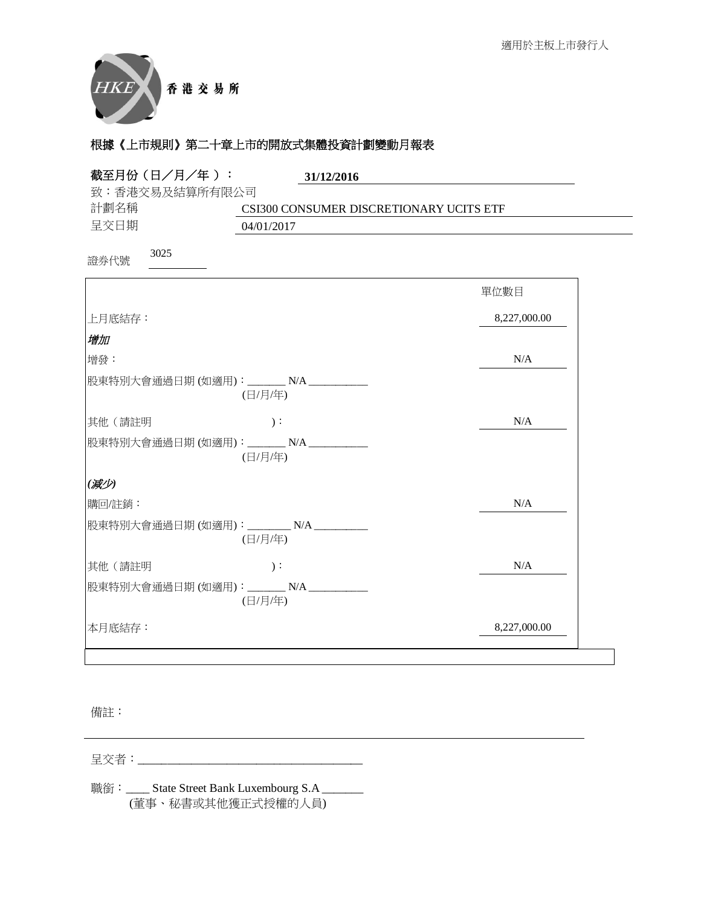

| 截至月份 (日/月/年):          | 31/12/2016                                         |              |
|------------------------|----------------------------------------------------|--------------|
| 致:香港交易及結算所有限公司<br>計劃名稱 | CSI300 CONSUMER DISCRETIONARY UCITS ETF            |              |
| 呈交日期                   | 04/01/2017                                         |              |
| 3025<br>證券代號           |                                                    |              |
|                        |                                                    | 單位數目         |
| 上月底結存:                 |                                                    | 8,227,000.00 |
| 增加                     |                                                    |              |
| 增發:                    |                                                    | N/A          |
|                        | 股東特別大會通過日期(如適用): _______N/A _________<br>(日/月/年)   |              |
| 其他 (請註明                | $)$ :                                              | N/A          |
|                        | 股東特別大會通過日期(如適用): _______N/A ___________<br>(日/月/年) |              |
| (减少)                   |                                                    |              |
| 購回/註銷:                 |                                                    | N/A          |
|                        | 股東特別大會通過日期(如適用): ________N/A __________<br>(日/月/年) |              |
| 其他(請註明                 | $)$ :                                              | N/A          |
|                        | 股東特別大會通過日期(如適用): _______N/A _________<br>(日/月/年)   |              |
| 本月底結存:                 |                                                    | 8,227,000.00 |

## 備註:

⏰Ṍ侭烉\_\_\_\_\_\_\_\_\_\_\_\_\_\_\_\_\_\_\_\_\_\_\_\_\_\_\_\_\_\_\_\_\_\_\_\_\_\_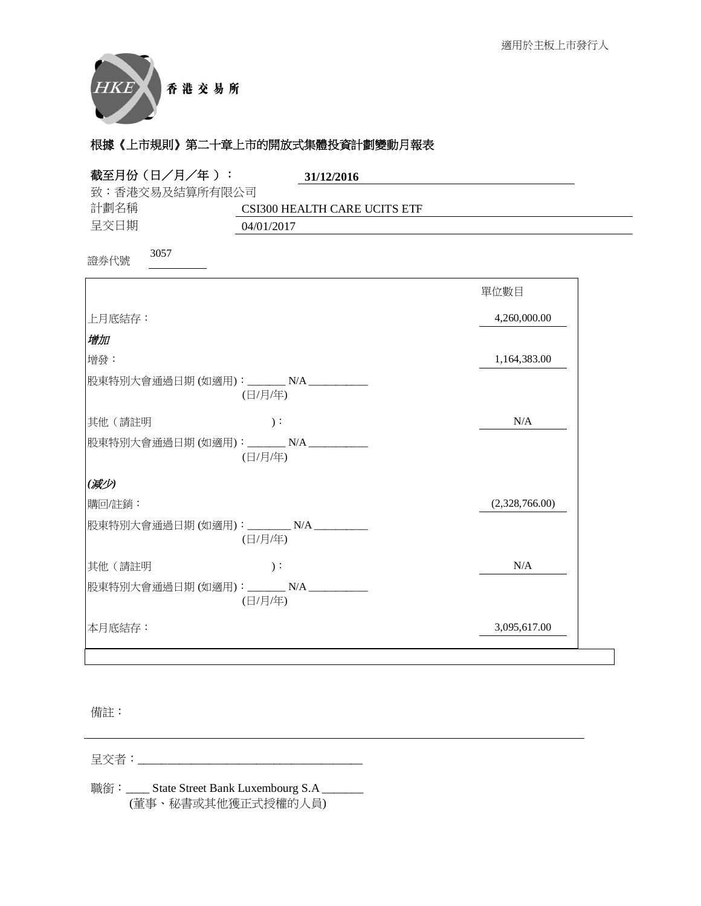

| 截至月份 (日/月/年):  | 31/12/2016                                          |                |
|----------------|-----------------------------------------------------|----------------|
| 致:香港交易及結算所有限公司 |                                                     |                |
| 計劃名稱           | CSI300 HEALTH CARE UCITS ETF                        |                |
| 呈交日期           | 04/01/2017                                          |                |
| 3057<br>證券代號   |                                                     |                |
|                |                                                     | 單位數目           |
| 上月底結存:         |                                                     | 4,260,000.00   |
| 增加             |                                                     |                |
| 增發:            |                                                     | 1,164,383.00   |
|                | 股東特別大會通過日期 (如適用): _______ N/A __________<br>(日/月/年) |                |
| 其他 (請註明        | $)$ :                                               | N/A            |
|                | 股東特別大會通過日期 (如適用):_______ N/A __________<br>(日/月/年)  |                |
| (减少)           |                                                     |                |
| 購回/註銷:         |                                                     | (2,328,766.00) |
|                | 股東特別大會通過日期(如適用): ________N/A __________<br>(日/月/年)  |                |
| 其他(請註明         | $)$ :                                               | N/A            |
|                | 股東特別大會通過日期(如適用): _______ N/A __________<br>(日/月/年)  |                |
| 本月底結存:         |                                                     | 3,095,617.00   |

## 備註:

⏰Ṍ侭烉\_\_\_\_\_\_\_\_\_\_\_\_\_\_\_\_\_\_\_\_\_\_\_\_\_\_\_\_\_\_\_\_\_\_\_\_\_\_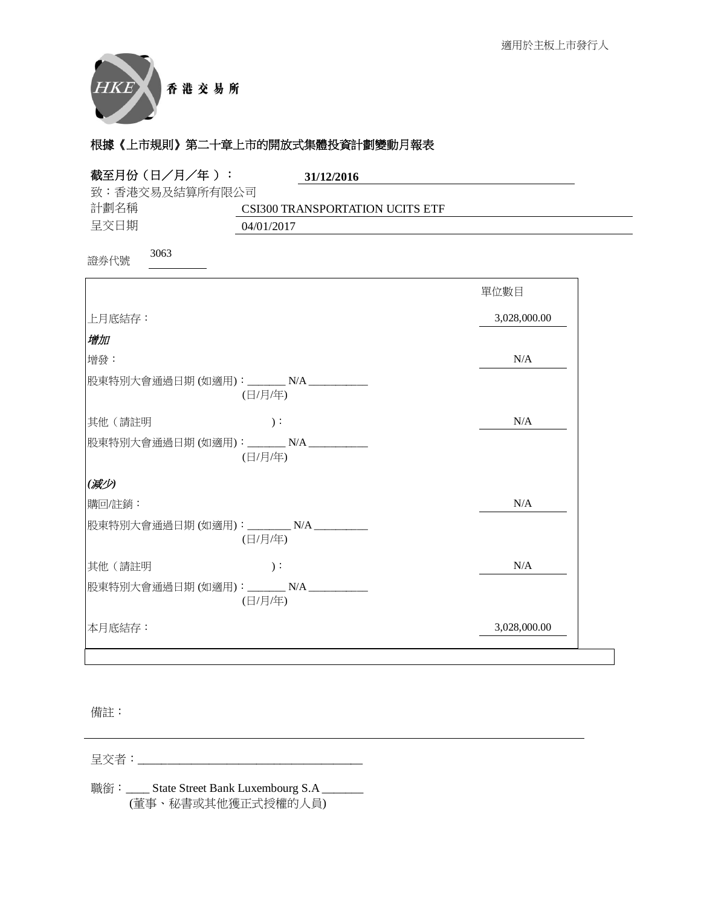

| 截至月份(日/月/年):<br>31/12/2016                         |              |
|----------------------------------------------------|--------------|
| 致:香港交易及結算所有限公司                                     |              |
| 計劃名稱<br>CSI300 TRANSPORTATION UCITS ETF            |              |
| 呈交日期<br>04/01/2017                                 |              |
| 3063<br>證券代號                                       |              |
|                                                    | 單位數目         |
| 上月底結存:                                             | 3,028,000.00 |
| 增加                                                 |              |
| 增發:                                                | N/A          |
| 股東特別大會通過日期 (如適用):_______ N/A __________<br>(日/月/年) |              |
| 其他(請註明<br>$)$ :                                    | N/A          |
| 股東特別大會通過日期(如適用): _______ N/A __________<br>(日/月/年) |              |
| (减少)                                               |              |
| 購回/註銷:                                             | N/A          |
| 股東特別大會通過日期(如適用): _______ N/A _________<br>(日/月/年)  |              |
| 其他(請註明<br>$)$ :                                    | N/A          |
| 股東特別大會通過日期 (如適用):_______ N/A __________<br>(日/月/年) |              |
| 本月底結存:                                             | 3,028,000.00 |

## 備註:

⏰Ṍ侭烉\_\_\_\_\_\_\_\_\_\_\_\_\_\_\_\_\_\_\_\_\_\_\_\_\_\_\_\_\_\_\_\_\_\_\_\_\_\_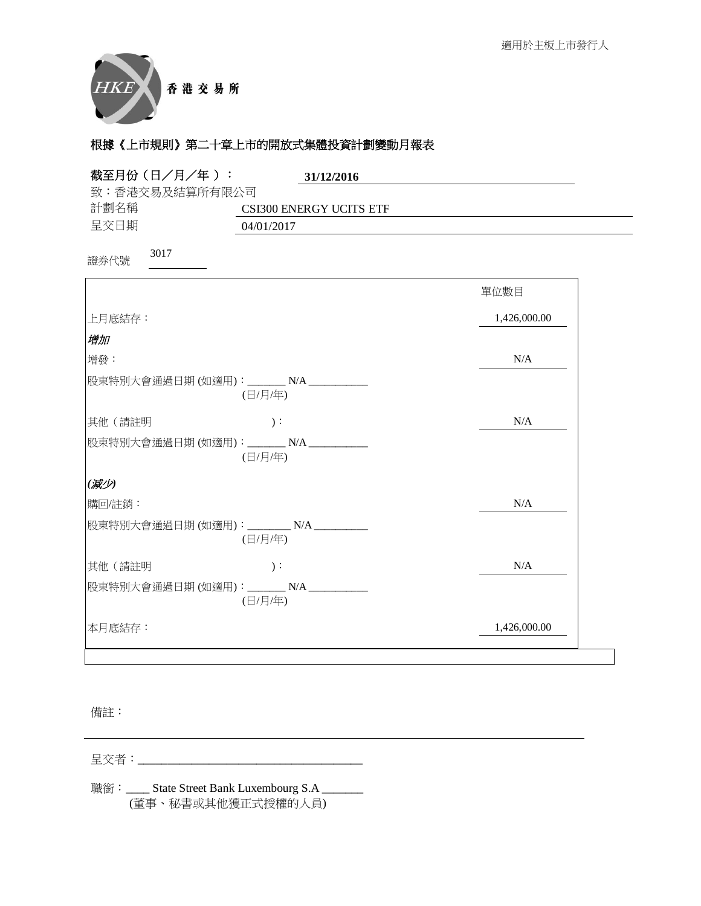

| 致:香港交易及結算所有限公司                                        |              |
|-------------------------------------------------------|--------------|
|                                                       |              |
| 計劃名稱<br>CSI300 ENERGY UCITS ETF<br>呈交日期<br>04/01/2017 |              |
|                                                       |              |
| 3017<br>證券代號                                          |              |
|                                                       | 單位數目         |
| 上月底結存:                                                | 1,426,000.00 |
| 增加                                                    |              |
| 增發:                                                   | N/A          |
| 股東特別大會通過日期(如適用): _______N/A _________<br>(日/月/年)      |              |
| 其他 (請註明<br>$)$ :                                      | N/A          |
| 股東特別大會通過日期(如適用): _______ N/A ___________<br>(日/月/年)   |              |
| (减少)                                                  |              |
| 購回/註銷:                                                | N/A          |
| 股東特別大會通過日期(如適用): ________N/A ________<br>(日/月/年)      |              |
| 其他 (請註明<br>$)$ :                                      | N/A          |
| 股東特別大會通過日期 (如適用):_______ N/A ___________<br>(日/月/年)   |              |
| 本月底結存:                                                | 1,426,000.00 |

## 備註:

⏰Ṍ侭烉\_\_\_\_\_\_\_\_\_\_\_\_\_\_\_\_\_\_\_\_\_\_\_\_\_\_\_\_\_\_\_\_\_\_\_\_\_\_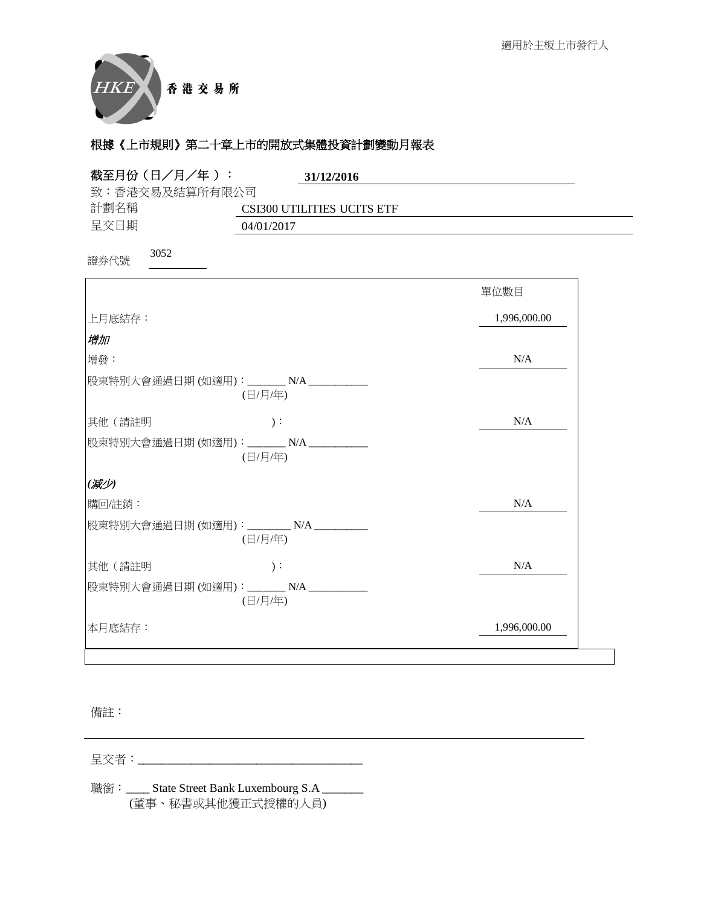

| 截至月份 (日/月/年):  | 31/12/2016                                        |              |
|----------------|---------------------------------------------------|--------------|
| 致:香港交易及結算所有限公司 |                                                   |              |
| 計劃名稱           | CSI300 UTILITIES UCITS ETF                        |              |
| 呈交日期           | 04/01/2017                                        |              |
| 3052<br>證券代號   |                                                   |              |
|                |                                                   | 單位數目         |
| 上月底結存:         |                                                   | 1,996,000.00 |
| 增加             |                                                   |              |
| 增發:            |                                                   | N/A          |
|                | 股東特別大會通過日期(如適用): _______ N/A _________<br>(日/月/年) |              |
| 其他 (請註明        | $)$ :                                             | N/A          |
|                | 股東特別大會通過日期(如適用): ______ N/A __________<br>(日/月/年) |              |
| (减少)           |                                                   |              |
| 購回/註銷:         |                                                   | N/A          |
|                | 股東特別大會通過日期(如適用): _______ N/A _________<br>(日/月/年) |              |
| 其他(請註明         | $)$ :                                             | N/A          |
|                | 股東特別大會通過日期 (如適用):_______ N/A _________<br>(日/月/年) |              |
| 本月底結存:         |                                                   | 1,996,000.00 |

## 備註:

⏰Ṍ侭烉\_\_\_\_\_\_\_\_\_\_\_\_\_\_\_\_\_\_\_\_\_\_\_\_\_\_\_\_\_\_\_\_\_\_\_\_\_\_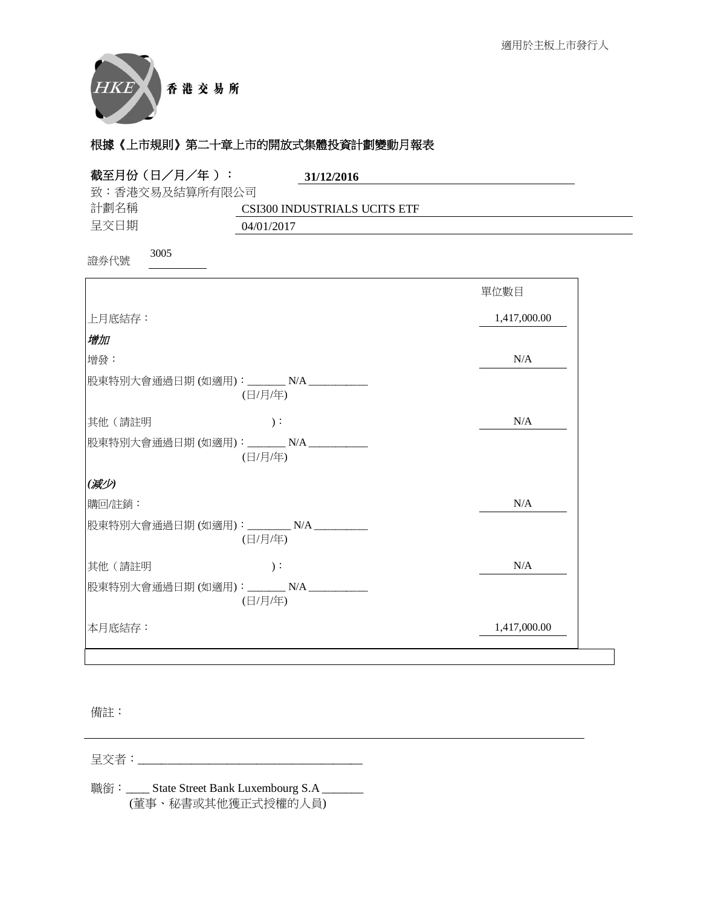

| 截至月份(日/月/年):<br>31/12/2016                         |              |
|----------------------------------------------------|--------------|
| 致:香港交易及結算所有限公司                                     |              |
| 計劃名稱<br>CSI300 INDUSTRIALS UCITS ETF               |              |
| 呈交日期<br>04/01/2017                                 |              |
| 3005<br>證券代號                                       |              |
|                                                    | 單位數目         |
| 上月底結存:                                             | 1,417,000.00 |
| 增加                                                 |              |
| 增發:                                                | N/A          |
| 股東特別大會通過日期 (如適用):_______ N/A __________<br>(日/月/年) |              |
| 其他(請註明<br>$)$ :                                    | N/A          |
| 股東特別大會通過日期(如適用): ______ N/A __________<br>(日/月/年)  |              |
| (减少)                                               |              |
| 購回/註銷:                                             | N/A          |
| 股東特別大會通過日期(如適用): _______ N/A _________<br>(日/月/年)  |              |
| 其他(請註明<br>$)$ :                                    | N/A          |
| 股東特別大會通過日期 (如適用):_______ N/A __________<br>(日/月/年) |              |
| 本月底結存:                                             | 1,417,000.00 |

## 備註:

⏰Ṍ侭烉\_\_\_\_\_\_\_\_\_\_\_\_\_\_\_\_\_\_\_\_\_\_\_\_\_\_\_\_\_\_\_\_\_\_\_\_\_\_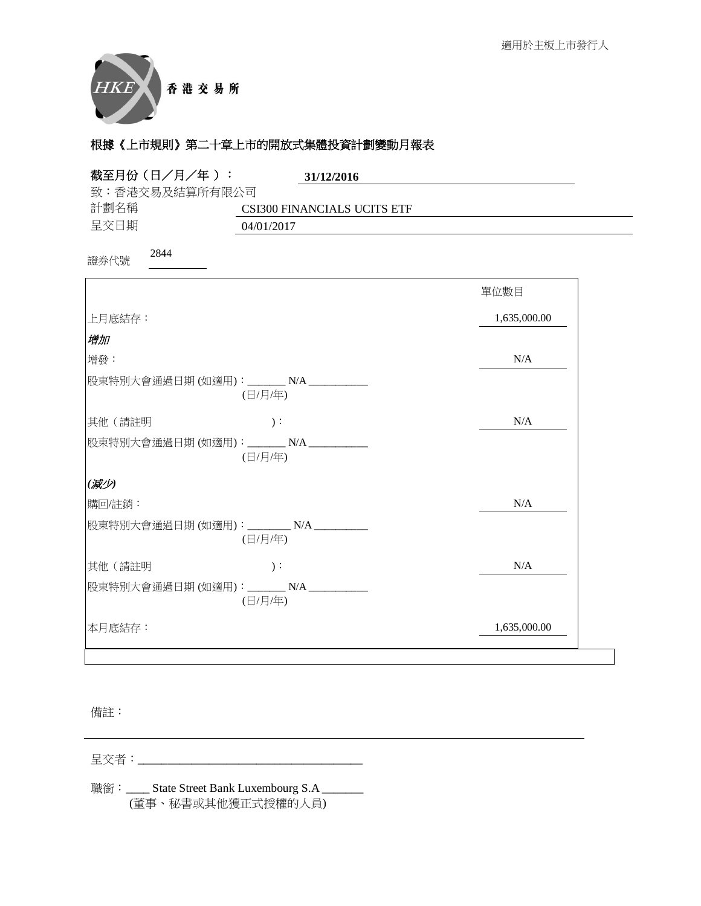

| 截至月份(日/月/年):           | 31/12/2016                                          |              |
|------------------------|-----------------------------------------------------|--------------|
| 致:香港交易及結算所有限公司<br>計劃名稱 | CSI300 FINANCIALS UCITS ETF                         |              |
| 呈交日期                   | 04/01/2017                                          |              |
| 2844<br>證券代號           |                                                     |              |
|                        |                                                     | 單位數目         |
| 上月底結存:                 |                                                     | 1,635,000.00 |
| 增加                     |                                                     |              |
| 增發:                    |                                                     | N/A          |
|                        | 股東特別大會通過日期 (如適用): _______ N/A _________<br>(日/月/年)  |              |
| 其他 (請註明                | $)$ :                                               | N/A          |
|                        | 股東特別大會通過日期(如適用): ______ N/A __________<br>(日/月/年)   |              |
| (减少)                   |                                                     |              |
| 購回/註銷:                 |                                                     | N/A          |
|                        | 股東特別大會通過日期(如適用): ________ N/A __________<br>(日/月/年) |              |
| 其他(請註明                 | $)$ :                                               | N/A          |
|                        | 股東特別大會通過日期(如適用): _______ N/A _________<br>(日/月/年)   |              |
| 本月底結存:                 |                                                     | 1,635,000.00 |

## 備註:

⏰Ṍ侭烉\_\_\_\_\_\_\_\_\_\_\_\_\_\_\_\_\_\_\_\_\_\_\_\_\_\_\_\_\_\_\_\_\_\_\_\_\_\_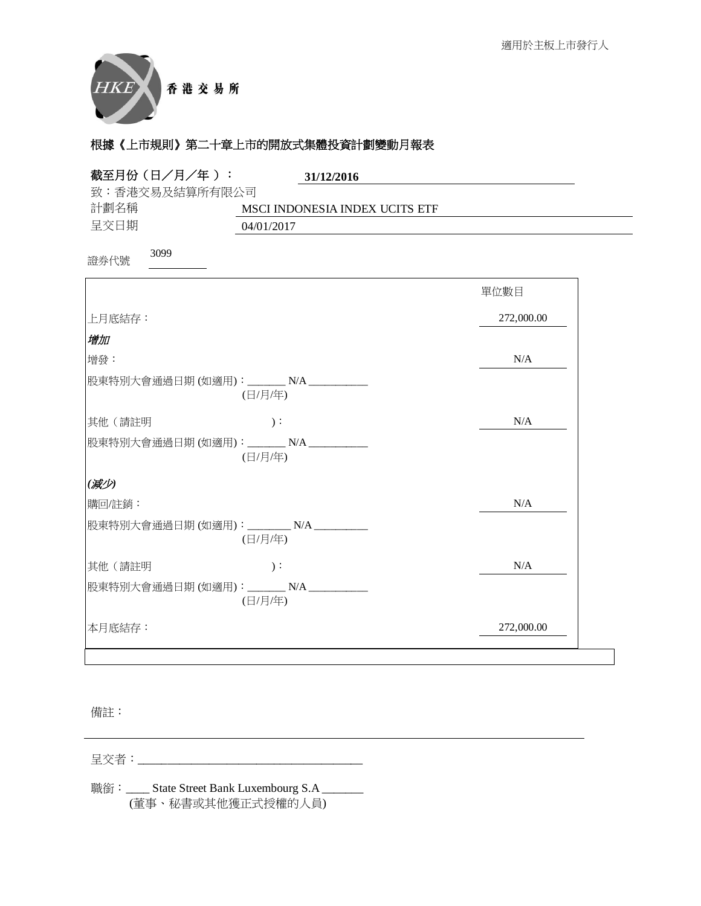

| 截至月份 (日/月/年):  | 31/12/2016                                          |            |
|----------------|-----------------------------------------------------|------------|
| 致:香港交易及結算所有限公司 |                                                     |            |
| 計劃名稱<br>呈交日期   | MSCI INDONESIA INDEX UCITS ETF<br>04/01/2017        |            |
|                |                                                     |            |
| 3099<br>證券代號   |                                                     |            |
|                |                                                     | 單位數目       |
| 上月底結存:         |                                                     | 272,000.00 |
| 增加             |                                                     |            |
| 增發:            |                                                     | N/A        |
|                | 股東特別大會通過日期(如適用): _______ N/A _________<br>(日/月/年)   |            |
| 其他(請註明         | $)$ :                                               | N/A        |
|                | 股東特別大會通過日期(如適用): _______ N/A ___________<br>(日/月/年) |            |
| (减少)           |                                                     |            |
| 購回/註銷:         |                                                     | N/A        |
|                | 股東特別大會通過日期(如適用): ________ N/A __________<br>(日/月/年) |            |
| 其他(請註明         | $)$ :                                               | N/A        |
|                | 股東特別大會通過日期(如適用): _______N/A _________<br>(日/月/年)    |            |
| 本月底結存:         |                                                     | 272,000.00 |

## 備註:

⏰Ṍ侭烉\_\_\_\_\_\_\_\_\_\_\_\_\_\_\_\_\_\_\_\_\_\_\_\_\_\_\_\_\_\_\_\_\_\_\_\_\_\_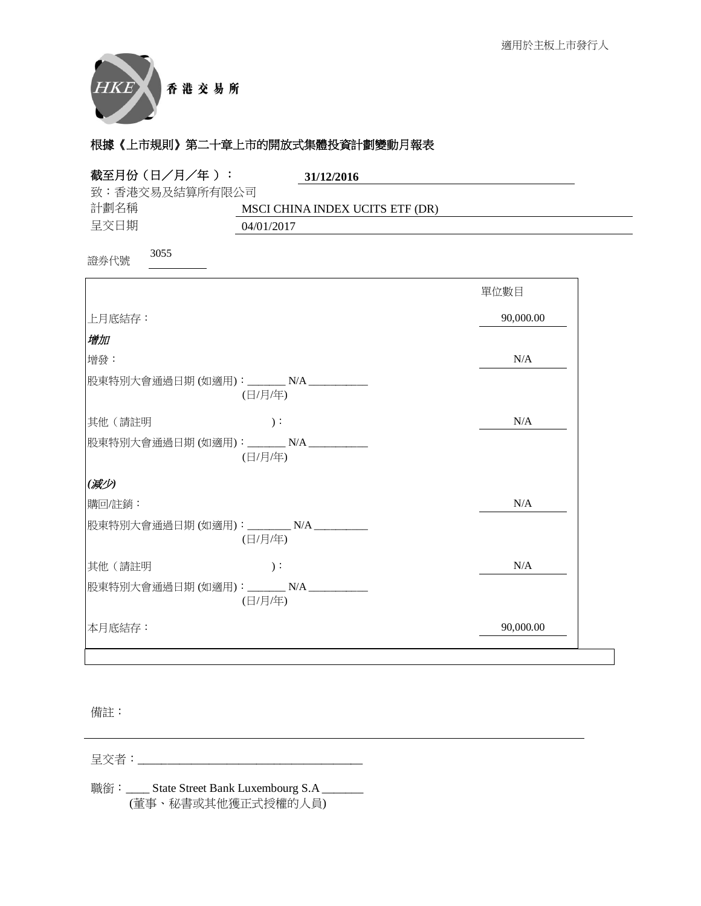

| 截至月份(日/月/年):                             | 31/12/2016                                    |           |
|------------------------------------------|-----------------------------------------------|-----------|
| 致:香港交易及結算所有限公司                           |                                               |           |
| 計劃名稱<br>呈交日期                             | MSCI CHINA INDEX UCITS ETF (DR)<br>04/01/2017 |           |
| 3055<br>證券代號                             |                                               |           |
|                                          |                                               | 單位數目      |
| 上月底結存:                                   |                                               | 90,000.00 |
| 增加                                       |                                               |           |
| 增發:                                      |                                               | N/A       |
| 股東特別大會通過日期 (如適用): _______ N/A _________  | (日/月/年)                                       |           |
| 其他(請註明                                   | $)$ :                                         | N/A       |
| 股東特別大會通過日期(如適用): _______N/A ___________  | (日/月/年)                                       |           |
| (减少)                                     |                                               |           |
| 購回/註銷:                                   |                                               | $\rm N/A$ |
| 股東特別大會通過日期(如適用): ________ N/A __________ | (日/月/年)                                       |           |
| 其他(請註明                                   | $)$ :                                         | N/A       |
| 股東特別大會通過日期 (如適用):_______ N/A __________  | (日/月/年)                                       |           |
| 本月底結存:                                   |                                               | 90,000.00 |

#### 備註:

⏰Ṍ侭烉\_\_\_\_\_\_\_\_\_\_\_\_\_\_\_\_\_\_\_\_\_\_\_\_\_\_\_\_\_\_\_\_\_\_\_\_\_\_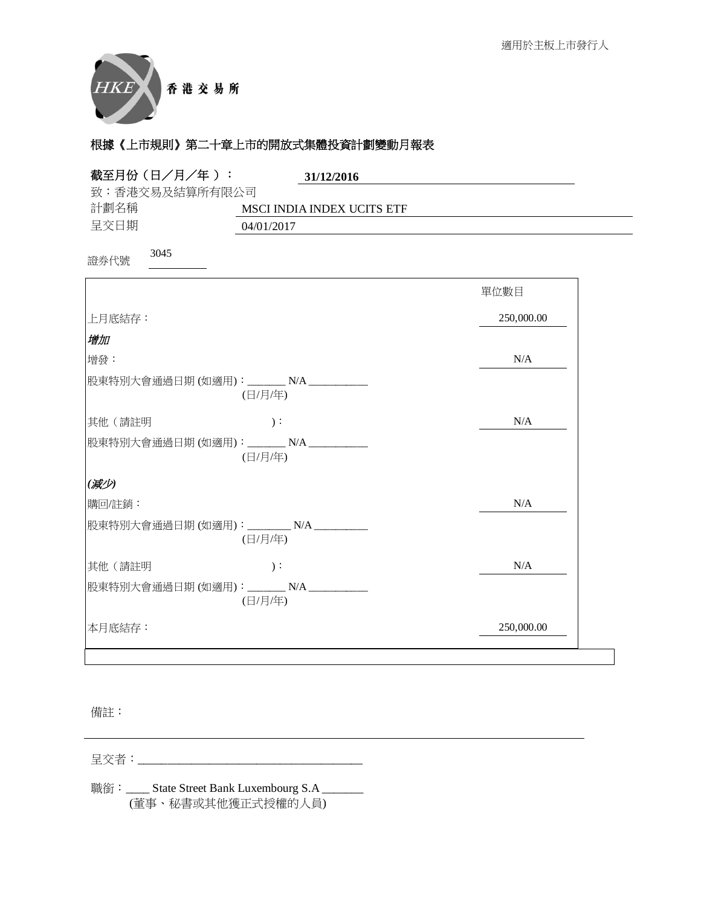

| 截至月份(日/月/年):           | 31/12/2016                                          |            |
|------------------------|-----------------------------------------------------|------------|
| 致:香港交易及結算所有限公司<br>計劃名稱 | MSCI INDIA INDEX UCITS ETF                          |            |
| 呈交日期                   | 04/01/2017                                          |            |
| 3045<br>證券代號           |                                                     |            |
|                        |                                                     | 單位數目       |
| 上月底結存:                 |                                                     | 250,000.00 |
| 增加                     |                                                     |            |
| 增發:                    |                                                     | $\rm N/A$  |
|                        | 股東特別大會通過日期 (如適用):_______ N/A __________<br>(日/月/年)  |            |
| 其他 (請註明                | $)$ :                                               | N/A        |
|                        | 股東特別大會通過日期(如適用): _______ N/A ___________<br>(日/月/年) |            |
| (减少)                   |                                                     |            |
| 購回/註銷:                 |                                                     | N/A        |
|                        | 股東特別大會通過日期(如適用): ________N/A __________<br>(日/月/年)  |            |
| 其他(請註明                 | $)$ :                                               | N/A        |
|                        | 股東特別大會通過日期 (如適用): _______ N/A __________<br>(日/月/年) |            |
| 本月底結存:                 |                                                     | 250,000.00 |

## 備註:

⏰Ṍ侭烉\_\_\_\_\_\_\_\_\_\_\_\_\_\_\_\_\_\_\_\_\_\_\_\_\_\_\_\_\_\_\_\_\_\_\_\_\_\_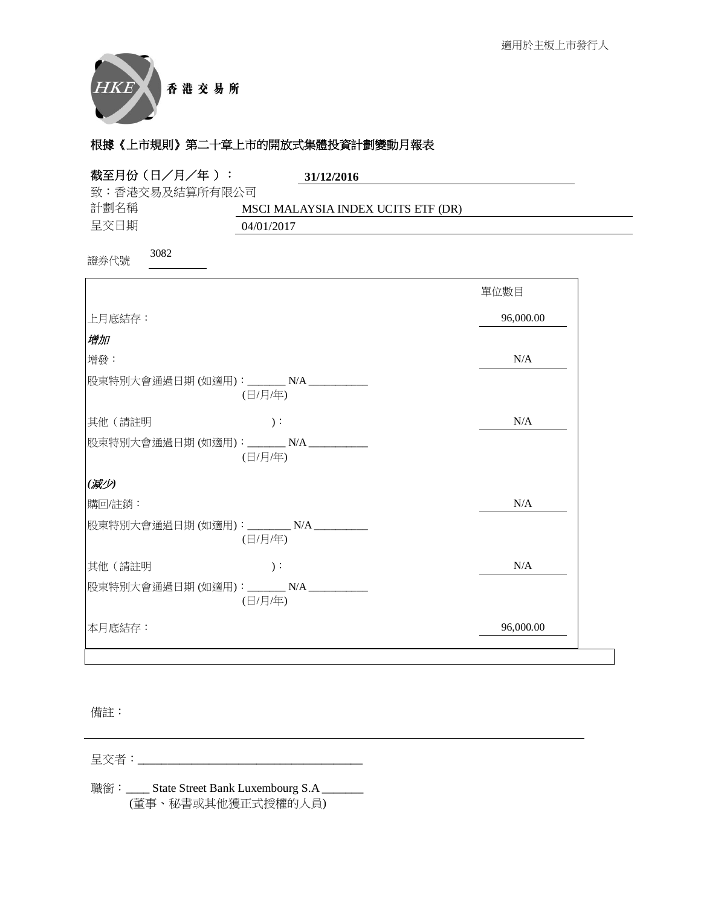

| 截至月份(日/月/年):<br>31/12/2016                                   |           |
|--------------------------------------------------------------|-----------|
| 致:香港交易及結算所有限公司<br>計劃名稱<br>MSCI MALAYSIA INDEX UCITS ETF (DR) |           |
| 呈交日期<br>04/01/2017                                           |           |
| 3082<br>證券代號                                                 |           |
|                                                              | 單位數目      |
| 上月底結存:                                                       | 96,000.00 |
| 增加                                                           |           |
| 增發:                                                          | N/A       |
| 股東特別大會通過日期 (如適用):_______ N/A _________<br>(日/月/年)            |           |
| 其他(請註明<br>$)$ :                                              | N/A       |
| 股東特別大會通過日期 (如適用):_______ N/A _________<br>(日/月/年)            |           |
| (减少)                                                         |           |
| 購回/註銷:                                                       | N/A       |
| 股東特別大會通過日期(如適用): ________N/A _________<br>(日/月/年)            |           |
| 其他(請註明<br>$)$ :                                              | N/A       |
| 股東特別大會通過日期(如適用): _______ N/A ________<br>(日/月/年)             |           |
| 本月底結存:                                                       | 96,000.00 |

## 備註:

⏰Ṍ侭烉\_\_\_\_\_\_\_\_\_\_\_\_\_\_\_\_\_\_\_\_\_\_\_\_\_\_\_\_\_\_\_\_\_\_\_\_\_\_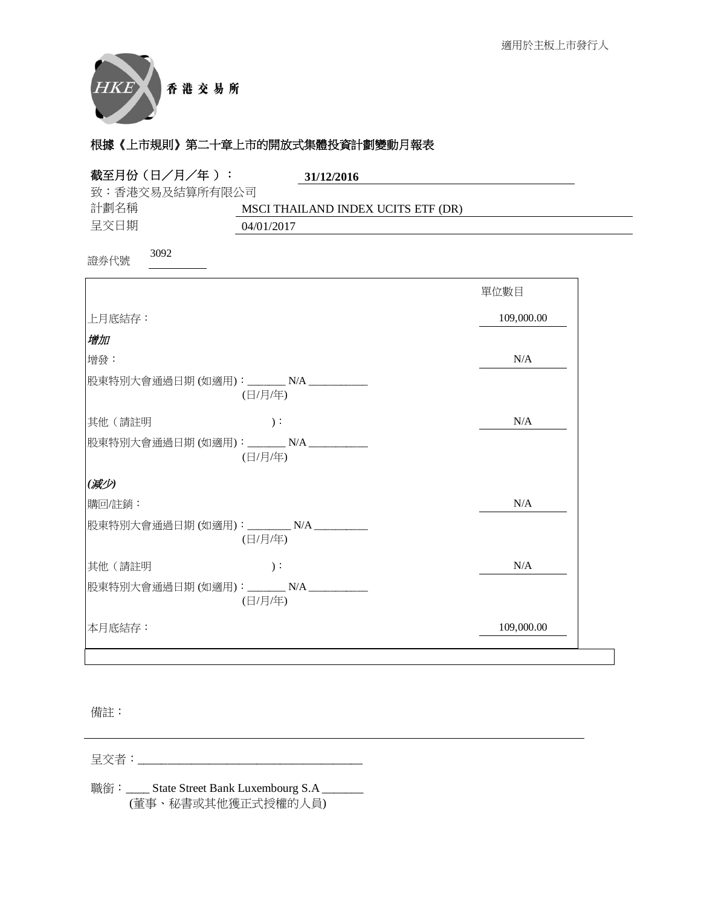

| 截至月份 (日/月/年):  | 31/12/2016                                          |            |
|----------------|-----------------------------------------------------|------------|
| 致:香港交易及結算所有限公司 |                                                     |            |
| 計劃名稱           | MSCI THAILAND INDEX UCITS ETF (DR)                  |            |
| 呈交日期           | 04/01/2017                                          |            |
| 3092<br>證券代號   |                                                     |            |
|                |                                                     | 單位數目       |
| 上月底結存:         |                                                     | 109,000.00 |
| 增加             |                                                     |            |
| 增發:            |                                                     | N/A        |
|                | 股東特別大會通過日期 (如適用): _______ N/A _________<br>(日/月/年)  |            |
| 其他(請註明         | $)$ :                                               | N/A        |
|                | 股東特別大會通過日期(如適用): _______ N/A ___________<br>(日/月/年) |            |
| (减少)           |                                                     |            |
| 購回/註銷:         |                                                     | N/A        |
|                | 股東特別大會通過日期(如適用): ________N/A __________<br>(日/月/年)  |            |
| 其他(請註明         | $)$ :                                               | N/A        |
|                | 股東特別大會通過日期(如適用): _______ N/A _________<br>(日/月/年)   |            |
| 本月底結存:         |                                                     | 109,000.00 |

## 備註:

⏰Ṍ侭烉\_\_\_\_\_\_\_\_\_\_\_\_\_\_\_\_\_\_\_\_\_\_\_\_\_\_\_\_\_\_\_\_\_\_\_\_\_\_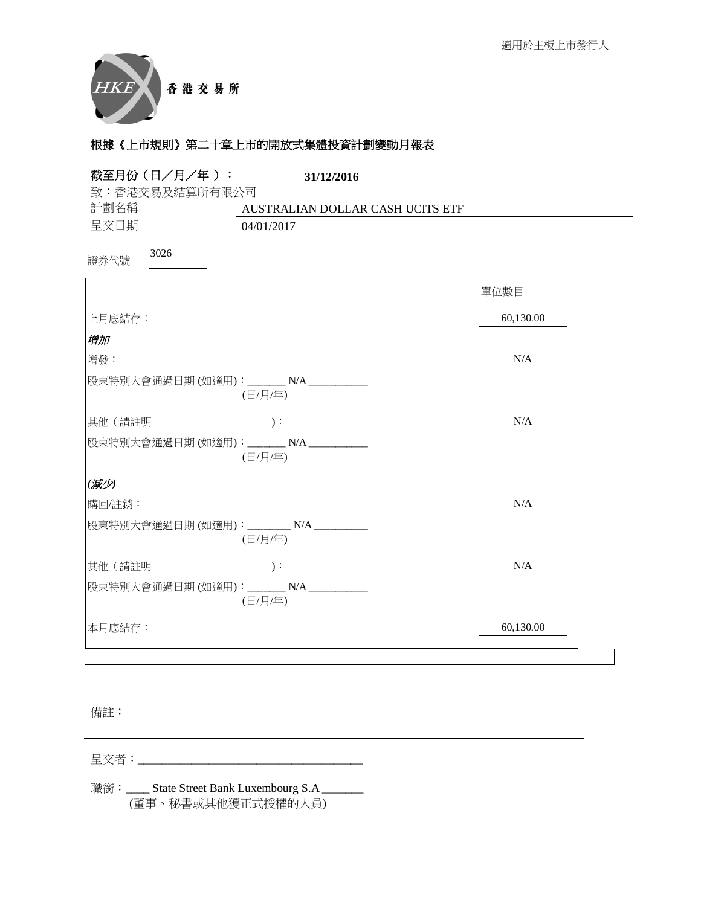

| 截至月份(日/月/年):<br>31/12/2016                          |           |
|-----------------------------------------------------|-----------|
| 致:香港交易及結算所有限公司                                      |           |
| 計劃名稱<br>AUSTRALIAN DOLLAR CASH UCITS ETF            |           |
| 呈交日期<br>04/01/2017                                  |           |
| 3026<br>證券代號                                        |           |
|                                                     | 單位數目      |
| 上月底結存:                                              | 60,130.00 |
| 增加                                                  |           |
| 增發:                                                 | N/A       |
| 股東特別大會通過日期 (如適用):_______ N/A _________<br>(日/月/年)   |           |
| 其他 (請註明<br>$)$ :                                    | N/A       |
| 股東特別大會通過日期(如適用): _______ N/A ___________<br>(日/月/年) |           |
| (减少)                                                |           |
| 購回/註銷:                                              | N/A       |
| 股東特別大會通過日期(如適用): ________ N/A __________<br>(日/月/年) |           |
| 其他(請註明<br>$)$ :                                     | N/A       |
| 股東特別大會通過日期 (如適用):_______ N/A __________<br>(日/月/年)  |           |
| 本月底結存:                                              | 60,130.00 |

#### 備註:

⏰Ṍ侭烉\_\_\_\_\_\_\_\_\_\_\_\_\_\_\_\_\_\_\_\_\_\_\_\_\_\_\_\_\_\_\_\_\_\_\_\_\_\_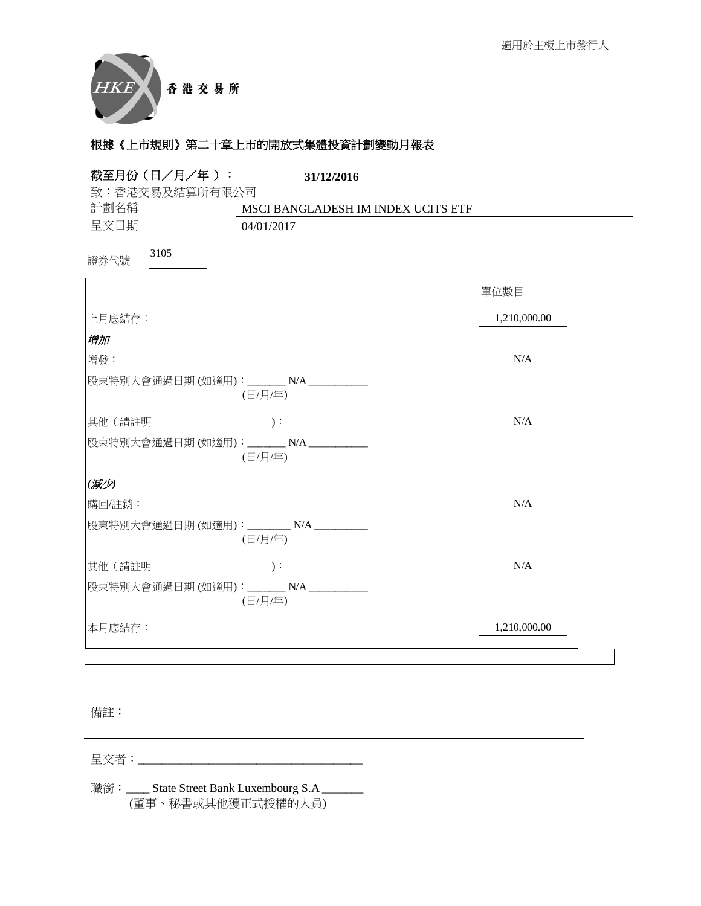

| 截至月份 (日/月/年):<br>致:香港交易及結算所有限公司 | 31/12/2016                                          |              |
|---------------------------------|-----------------------------------------------------|--------------|
| 計劃名稱                            | MSCI BANGLADESH IM INDEX UCITS ETF                  |              |
| 呈交日期                            | 04/01/2017                                          |              |
| 3105<br>證券代號                    |                                                     |              |
|                                 |                                                     | 單位數目         |
| 上月底結存:                          |                                                     | 1,210,000.00 |
| 增加                              |                                                     |              |
| 增發:                             |                                                     | N/A          |
|                                 | 股東特別大會通過日期 (如適用):_______ N/A __________<br>(日/月/年)  |              |
| 其他(請註明                          | $)$ :                                               | N/A          |
|                                 | 股東特別大會通過日期 (如適用): _______ N/A __________<br>(日/月/年) |              |
| (减少)                            |                                                     |              |
| 購回/註銷:                          |                                                     | N/A          |
|                                 | 股東特別大會通過日期 (如適用):________ N/A __________<br>(日/月/年) |              |
| 其他(請註明                          | $)$ :                                               | N/A          |
|                                 | 股東特別大會通過日期(如適用): _______ N/A ___________<br>(日/月/年) |              |
| 本月底結存:                          |                                                     | 1,210,000.00 |

#### 備註:

⏰Ṍ侭烉\_\_\_\_\_\_\_\_\_\_\_\_\_\_\_\_\_\_\_\_\_\_\_\_\_\_\_\_\_\_\_\_\_\_\_\_\_\_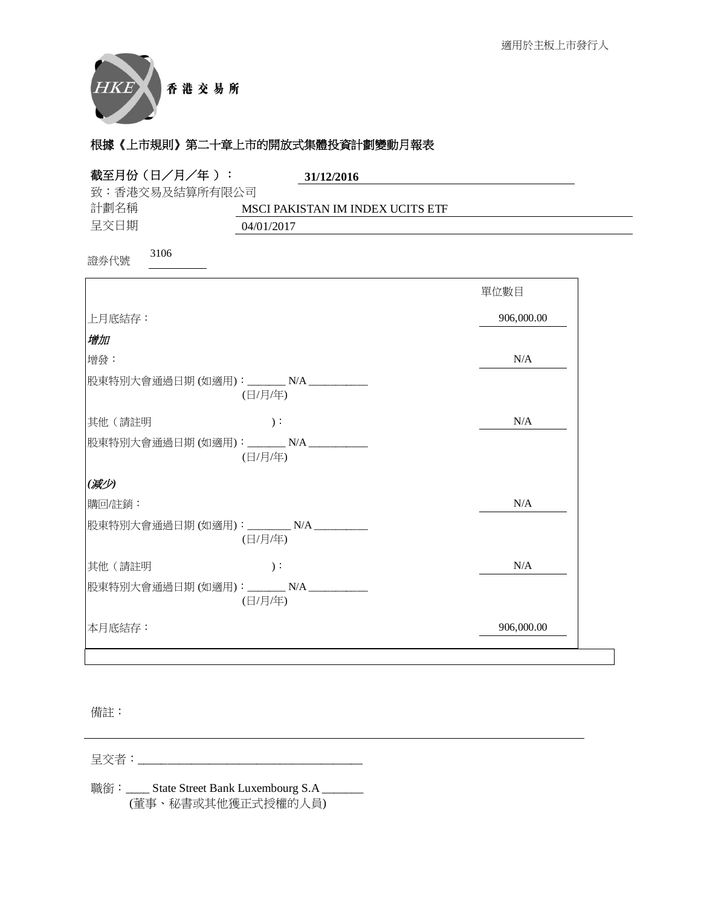

| 截至月份(日/月/年):<br>31/12/2016                                 |            |
|------------------------------------------------------------|------------|
| 致:香港交易及結算所有限公司<br>計劃名稱<br>MSCI PAKISTAN IM INDEX UCITS ETF |            |
| 呈交日期<br>04/01/2017                                         |            |
| 3106<br>證券代號                                               |            |
|                                                            | 單位數目       |
| 上月底結存:                                                     | 906,000.00 |
| 增加                                                         |            |
| 增發:                                                        | N/A        |
| 股東特別大會通過日期 (如適用):_______ N/A __________<br>(日/月/年)         |            |
| 其他(請註明<br>$\cdot$ :                                        | N/A        |
| 股東特別大會通過日期 (如適用): _______ N/A ___________<br>(日/月/年)       |            |
| (减少)                                                       |            |
| 購回/註銷:                                                     | N/A        |
| 股東特別大會通過日期(如適用): _______ N/A_<br>(日/月/年)                   |            |
| 其他(請註明<br>$)$ :                                            | N/A        |
| 股東特別大會通過日期(如適用): _______ N/A _________<br>(日/月/年)          |            |
| 本月底結存:                                                     | 906,000.00 |

#### 備註:

⏰Ṍ侭烉\_\_\_\_\_\_\_\_\_\_\_\_\_\_\_\_\_\_\_\_\_\_\_\_\_\_\_\_\_\_\_\_\_\_\_\_\_\_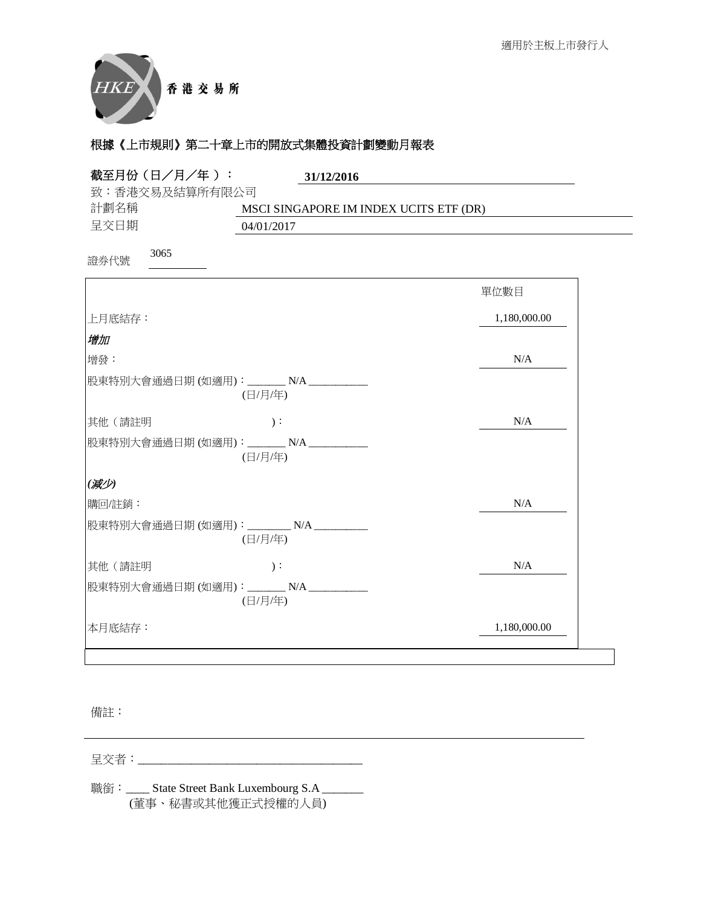

| 截至月份(日/月/年):<br>31/12/2016<br>致:香港交易及結算所有限公司<br>計劃名稱<br>MSCI SINGAPORE IM INDEX UCITS ETF (DR) |              |
|------------------------------------------------------------------------------------------------|--------------|
| 呈交日期<br>04/01/2017                                                                             |              |
| 3065<br>證券代號                                                                                   |              |
|                                                                                                | 單位數目         |
| 上月底結存:                                                                                         | 1,180,000.00 |
| 增加                                                                                             |              |
| 增發:                                                                                            | N/A          |
| 股東特別大會通過日期 (如適用):_______ N/A _________<br>(日/月/年)                                              |              |
| 其他(請註明<br>$)$ :                                                                                | N/A          |
| 股東特別大會通過日期 (如適用):_______ N/A __________<br>(日/月/年)                                             |              |
| (减少)                                                                                           |              |
| 購回/註銷:                                                                                         | N/A          |
| 股東特別大會通過日期(如適用): ________N/A _________<br>(日/月/年)                                              |              |
| 其他(請註明<br>$)$ :                                                                                | N/A          |
| 股東特別大會通過日期(如適用): _______ N/A ________<br>(日/月/年)                                               |              |
| 本月底結存:                                                                                         | 1,180,000.00 |

## 備註:

⏰Ṍ侭烉\_\_\_\_\_\_\_\_\_\_\_\_\_\_\_\_\_\_\_\_\_\_\_\_\_\_\_\_\_\_\_\_\_\_\_\_\_\_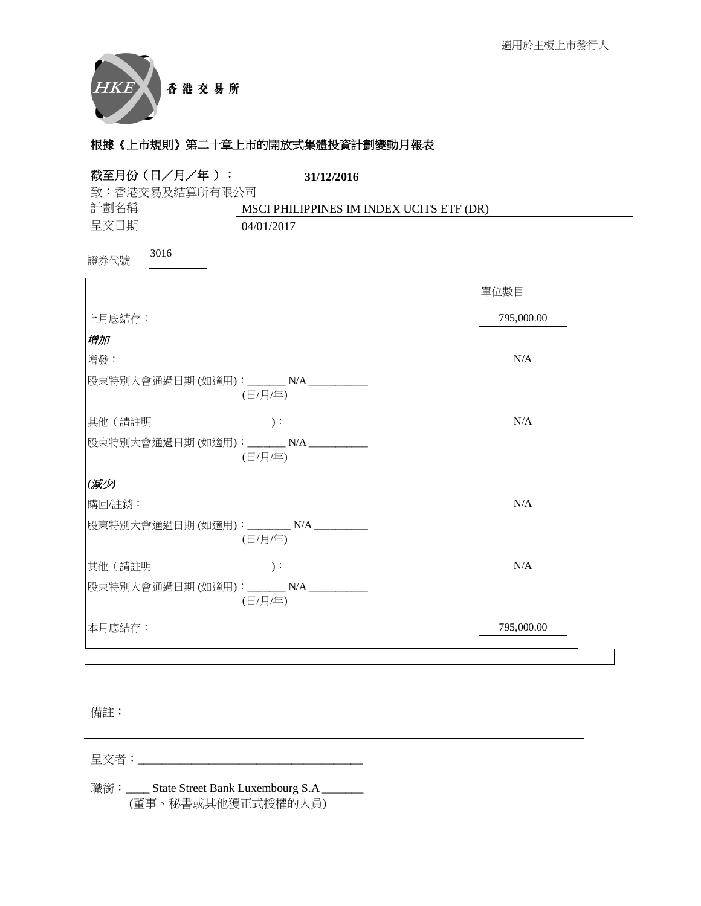

| 截至月份(日/月/年):<br>31/12/2016<br>致:香港交易及結算所有限公司<br>計劃名稱<br>MSCI PHILIPPINES IM INDEX UCITS ETF (DR)<br>呈交日期<br>04/01/2017 |            |
|------------------------------------------------------------------------------------------------------------------------|------------|
| 3016<br>證券代號                                                                                                           |            |
|                                                                                                                        | 單位數目       |
| 上月底結存:                                                                                                                 | 795,000.00 |
| 增加                                                                                                                     |            |
| 增發:                                                                                                                    | N/A        |
| 股東特別大會通過日期 (如適用): _______ N/A _______<br>(日/月/年)                                                                       |            |
| 其他(請註明<br>$\mathcal{C}$ :                                                                                              | N/A        |
| 股東特別大會通過日期 (如適用):_______ N/A __________<br>(日/月/年)                                                                     |            |
| (减少)                                                                                                                   |            |
| 購回/註銷:                                                                                                                 | N/A        |
| 股東特別大會通過日期 (如適用):________ N/A _________<br>(日/月/年)                                                                     |            |
| 其他(請註明<br>$)$ :                                                                                                        | N/A        |
| 股東特別大會通過日期(如適用): _______ N/A _______<br>(日/月/年)                                                                        |            |
| 本月底結存:                                                                                                                 | 795,000.00 |

## 備註:

⏰Ṍ侭烉\_\_\_\_\_\_\_\_\_\_\_\_\_\_\_\_\_\_\_\_\_\_\_\_\_\_\_\_\_\_\_\_\_\_\_\_\_\_